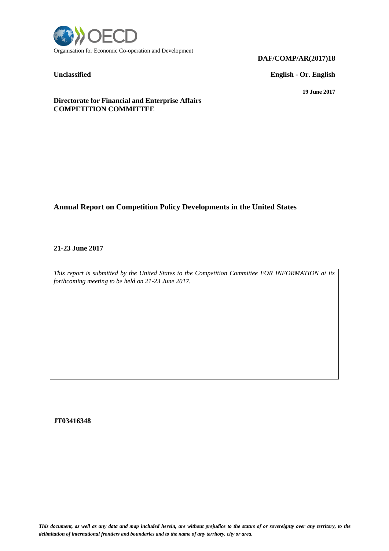

#### **DAF/COMP/AR(2017)18**

**Unclassified English - Or. English**

**19 June 2017**

**Directorate for Financial and Enterprise Affairs COMPETITION COMMITTEE**

## **Annual Report on Competition Policy Developments in the United States**

**21-23 June 2017**

*This report is submitted by the United States to the Competition Committee FOR INFORMATION at its forthcoming meeting to be held on 21-23 June 2017.*

**JT03416348**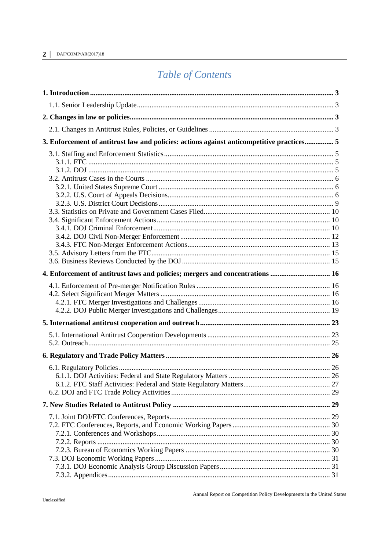#### $2|$ DAF/COMP/AR(2017)18

# Table of Contents

|  | 3. Enforcement of antitrust law and policies: actions against anticompetitive practices 5 |  |  |  |  |  |
|--|-------------------------------------------------------------------------------------------|--|--|--|--|--|
|  |                                                                                           |  |  |  |  |  |
|  | 4. Enforcement of antitrust laws and policies; mergers and concentrations  16             |  |  |  |  |  |
|  |                                                                                           |  |  |  |  |  |
|  |                                                                                           |  |  |  |  |  |
|  |                                                                                           |  |  |  |  |  |
|  |                                                                                           |  |  |  |  |  |
|  |                                                                                           |  |  |  |  |  |
|  |                                                                                           |  |  |  |  |  |
|  |                                                                                           |  |  |  |  |  |
|  |                                                                                           |  |  |  |  |  |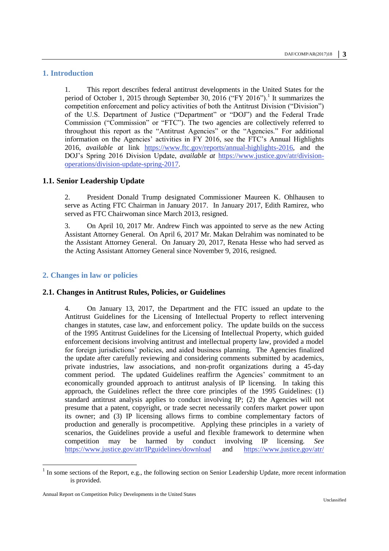#### <span id="page-2-0"></span>**1. Introduction**

1. This report describes federal antitrust developments in the United States for the period of October 1, 2015 through September 30, 2016 ("FY 2016").<sup>1</sup> It summarizes the competition enforcement and policy activities of both the Antitrust Division ("Division") of the U.S. Department of Justice ("Department" or "DOJ") and the Federal Trade Commission ("Commission" or "FTC"). The two agencies are collectively referred to throughout this report as the "Antitrust Agencies" or the "Agencies." For additional information on the Agencies' activities in FY 2016, see the FTC's Annual Highlights 2016, *available at* link [https://www.ftc.gov/reports/annual-highlights-2016,](https://www.ftc.gov/reports/annual-highlights-2016) and the DOJ's Spring 2016 Division Update, *available at* [https://www.justice.gov/atr/division](https://www.justice.gov/atr/division-operations/division-update-spring-2017)[operations/division-update-spring-2017.](https://www.justice.gov/atr/division-operations/division-update-spring-2017)

#### <span id="page-2-1"></span>**1.1. Senior Leadership Update**

2. President Donald Trump designated Commissioner Maureen K. Ohlhausen to serve as Acting FTC Chairman in January 2017. In January 2017, Edith Ramirez, who served as FTC Chairwoman since March 2013, resigned.

3. On April 10, 2017 Mr. Andrew Finch was appointed to serve as the new Acting Assistant Attorney General. On April 6, 2017 Mr. Makan Delrahim was nominated to be the Assistant Attorney General. On January 20, 2017, Renata Hesse who had served as the Acting Assistant Attorney General since November 9, 2016, resigned.

#### <span id="page-2-2"></span>**2. Changes in law or policies**

#### <span id="page-2-3"></span>**2.1. Changes in Antitrust Rules, Policies, or Guidelines**

4. On January 13, 2017, the Department and the FTC issued an update to the Antitrust Guidelines for the Licensing of Intellectual Property to reflect intervening changes in statutes, case law, and enforcement policy. The update builds on the success of the 1995 Antitrust Guidelines for the Licensing of Intellectual Property, which guided enforcement decisions involving antitrust and intellectual property law, provided a model for foreign jurisdictions' policies, and aided business planning. The Agencies finalized the update after carefully reviewing and considering comments submitted by academics, private industries, law associations, and non-profit organizations during a 45-day comment period. The updated Guidelines reaffirm the Agencies' commitment to an economically grounded approach to antitrust analysis of IP licensing. In taking this approach, the Guidelines reflect the three core principles of the 1995 Guidelines: (1) standard antitrust analysis applies to conduct involving IP; (2) the Agencies will not presume that a patent, copyright, or trade secret necessarily confers market power upon its owner; and (3) IP licensing allows firms to combine complementary factors of production and generally is procompetitive. Applying these principles in a variety of scenarios, the Guidelines provide a useful and flexible framework to determine when competition may be harmed by conduct involving IP licensing. *See* <https://www.justice.gov/atr/IPguidelines/download> and [https://www.justice.gov/atr/](https://www.justice.gov/atr/guidelines-and-policy-statements-0/2017-update-antitrust-guidelines-licensing-intellectual-property)

<sup>&</sup>lt;sup>1</sup> In some sections of the Report, e.g., the following section on Senior Leadership Update, more recent information is provided.

Annual Report on Competition Policy Developments in the United States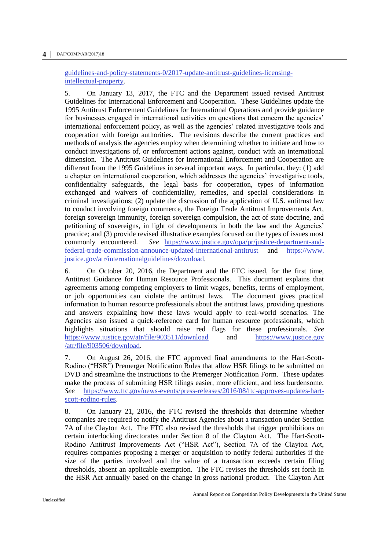#### **4 │** DAF/COMP/AR(2017)18

[guidelines-and-policy-statements-0/2017-update-antitrust-guidelines-licensing](https://www.justice.gov/atr/guidelines-and-policy-statements-0/2017-update-antitrust-guidelines-licensing-intellectual-property)[intellectual-property.](https://www.justice.gov/atr/guidelines-and-policy-statements-0/2017-update-antitrust-guidelines-licensing-intellectual-property)

5. On January 13, 2017, the FTC and the Department issued revised Antitrust Guidelines for International Enforcement and Cooperation. These Guidelines update the 1995 Antitrust Enforcement Guidelines for International Operations and provide guidance for businesses engaged in international activities on questions that concern the agencies' international enforcement policy, as well as the agencies' related investigative tools and cooperation with foreign authorities. The revisions describe the current practices and methods of analysis the agencies employ when determining whether to initiate and how to conduct investigations of, or enforcement actions against, conduct with an international dimension. The Antitrust Guidelines for International Enforcement and Cooperation are different from the 1995 Guidelines in several important ways. In particular, they: (1) add a chapter on international cooperation, which addresses the agencies' investigative tools, confidentiality safeguards, the legal basis for cooperation, types of information exchanged and waivers of confidentiality, remedies, and special considerations in criminal investigations; (2) update the discussion of the application of U.S. antitrust law to conduct involving foreign commerce, the Foreign Trade Antitrust Improvements Act, foreign sovereign immunity, foreign sovereign compulsion, the act of state doctrine, and petitioning of sovereigns, in light of developments in both the law and the Agencies' practice; and (3) provide revised illustrative examples focused on the types of issues most commonly encountered. *See* [https://www.justice.gov/opa/pr/justice-department-and](https://www.justice.gov/opa/pr/justice-department-and-federal-trade-commission-announce-updated-international-antitrust)[federal-trade-commission-announce-updated-international-antitrust](https://www.justice.gov/opa/pr/justice-department-and-federal-trade-commission-announce-updated-international-antitrust) and [https://www.](https://www.justice.gov/atr/internationalguidelines/download) [justice.gov/atr/internationalguidelines/download.](https://www.justice.gov/atr/internationalguidelines/download)

6. On October 20, 2016, the Department and the FTC issued, for the first time, Antitrust Guidance for Human Resource Professionals. This document explains that agreements among competing employers to limit wages, benefits, terms of employment, or job opportunities can violate the antitrust laws. The document gives practical information to human resource professionals about the antitrust laws, providing questions and answers explaining how these laws would apply to real-world scenarios. The Agencies also issued a quick-reference card for human resource professionals, which highlights situations that should raise red flags for these professionals. *See* <https://www.justice.gov/atr/file/903511/download> and [https://www.justice.gov](https://www.justice.gov/atr/file/903506/download) [/atr/file/903506/download.](https://www.justice.gov/atr/file/903506/download)

7. On August 26, 2016, the FTC approved final amendments to the Hart-Scott-Rodino ("HSR") Premerger Notification Rules that allow HSR filings to be submitted on DVD and streamline the instructions to the Premerger Notification Form. These updates make the process of submitting HSR filings easier, more efficient, and less burdensome. *See* [https://www.ftc.gov/news-events/press-releases/2016/08/ftc-approves-updates-hart](https://www.ftc.gov/news-events/press-releases/2016/08/ftc-approves-updates-hart-scott-rodino-rules)[scott-rodino-rules.](https://www.ftc.gov/news-events/press-releases/2016/08/ftc-approves-updates-hart-scott-rodino-rules)

8. On January 21, 2016, the FTC revised the thresholds that determine whether companies are required to notify the Antitrust Agencies about a transaction under Section 7A of the Clayton Act. The FTC also revised the thresholds that trigger prohibitions on certain interlocking directorates under Section 8 of the Clayton Act. The Hart-Scott-Rodino Antitrust Improvements Act ("HSR Act"), Section 7A of the Clayton Act, requires companies proposing a merger or acquisition to notify federal authorities if the size of the parties involved and the value of a transaction exceeds certain filing thresholds, absent an applicable exemption. The FTC revises the thresholds set forth in the HSR Act annually based on the change in gross national product. The Clayton Act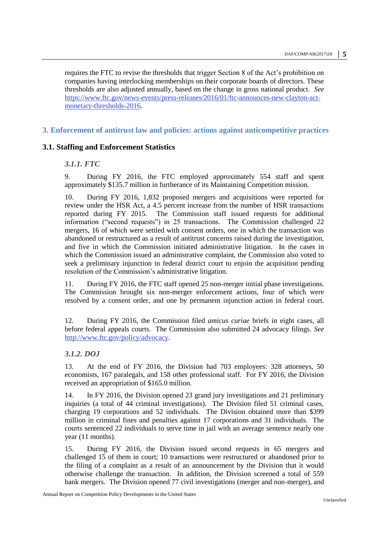requires the FTC to revise the thresholds that trigger Section 8 of the Act's prohibition on companies having interlocking memberships on their corporate boards of directors. These thresholds are also adjusted annually, based on the change in gross national product. *See* [https://www.ftc.gov/news-events/press-releases/2016/01/ftc-announces-new-clayton-act](https://www.ftc.gov/news-events/press-releases/2016/01/ftc-announces-new-clayton-act-monetary-thresholds-2016)[monetary-thresholds-2016.](https://www.ftc.gov/news-events/press-releases/2016/01/ftc-announces-new-clayton-act-monetary-thresholds-2016)

#### <span id="page-4-0"></span>**3. Enforcement of antitrust law and policies: actions against anticompetitive practices**

#### <span id="page-4-2"></span><span id="page-4-1"></span>**3.1. Staffing and Enforcement Statistics**

#### *3.1.1. FTC*

9. During FY 2016, the FTC employed approximately 554 staff and spent approximately \$135.7 million in furtherance of its Maintaining Competition mission.

10. During FY 2016, 1,832 proposed mergers and acquisitions were reported for review under the HSR Act, a 4.5 percent increase from the number of HSR transactions reported during FY 2015. The Commission staff issued requests for additional information ("second requests") in 25 transactions. The Commission challenged 22 mergers, 16 of which were settled with consent orders, one in which the transaction was abandoned or restructured as a result of antitrust concerns raised during the investigation, and five in which the Commission initiated administrative litigation. In the cases in which the Commission issued an administrative complaint, the Commission also voted to seek a preliminary injunction in federal district court to enjoin the acquisition pending resolution of the Commission's administrative litigation.

11. During FY 2016, the FTC staff opened 25 non-merger initial phase investigations. The Commission brought six non-merger enforcement actions, four of which were resolved by a consent order, and one by permanent injunction action in federal court.

12. During FY 2016, the Commission filed *amicus curiae* briefs in eight cases, all before federal appeals courts. The Commission also submitted 24 advocacy filings. *See* [http://www.ftc.gov/policy/advocacy.](http://www.ftc.gov/policy/advocacy)

#### <span id="page-4-3"></span>*3.1.2. DOJ*

13. At the end of FY 2016, the Division had 703 employees: 328 attorneys, 50 economists, 167 paralegals, and 158 other professional staff. For FY 2016, the Division received an appropriation of \$165.0 million.

14. In FY 2016, the Division opened 23 grand jury investigations and 21 preliminary inquiries (a total of 44 criminal investigations). The Division filed 51 criminal cases, charging 19 corporations and 52 individuals. The Division obtained more than \$399 million in criminal fines and penalties against 17 corporations and 31 individuals. The courts sentenced 22 individuals to serve time in jail with an average sentence nearly one year (11 months).

15. During FY 2016, the Division issued second requests in 65 mergers and challenged 15 of them in court; 10 transactions were restructured or abandoned prior to the filing of a complaint as a result of an announcement by the Division that it would otherwise challenge the transaction. In addition, the Division screened a total of 559 bank mergers. The Division opened 77 civil investigations (merger and non-merger), and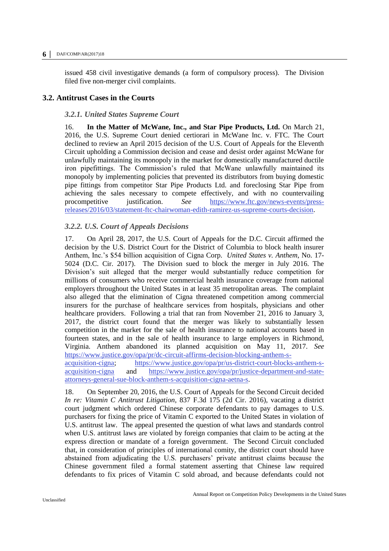#### **6 │** DAF/COMP/AR(2017)18

issued 458 civil investigative demands (a form of compulsory process). The Division filed five non-merger civil complaints.

#### <span id="page-5-1"></span><span id="page-5-0"></span>**3.2. Antitrust Cases in the Courts**

#### *3.2.1. United States Supreme Court*

16. **In the Matter of McWane, Inc., and Star Pipe Products, Ltd.** On March 21, 2016, the U.S. Supreme Court denied certiorari in McWane Inc. v. FTC. The Court declined to review an April 2015 decision of the U.S. Court of Appeals for the Eleventh Circuit upholding a Commission decision and cease and desist order against McWane for unlawfully maintaining its monopoly in the market for domestically manufactured ductile iron pipefittings. The Commission's ruled that McWane unlawfully maintained its monopoly by implementing policies that prevented its distributors from buying domestic pipe fittings from competitor Star Pipe Products Ltd. and foreclosing Star Pipe from achieving the sales necessary to compete effectively, and with no countervailing procompetitive justification. *See* [https://www.ftc.gov/news-events/press](https://www.ftc.gov/news-events/press-releases/2016/03/statement-ftc-chairwoman-edith-ramirez-us-supreme-courts-decision)[releases/2016/03/statement-ftc-chairwoman-edith-ramirez-us-supreme-courts-decision.](https://www.ftc.gov/news-events/press-releases/2016/03/statement-ftc-chairwoman-edith-ramirez-us-supreme-courts-decision)

#### <span id="page-5-2"></span>*3.2.2. U.S. Court of Appeals Decisions*

17. On April 28, 2017, the U.S. Court of Appeals for the D.C. Circuit affirmed the decision by the U.S. District Court for the District of Columbia to block health insurer Anthem, Inc.'s \$54 billion acquisition of Cigna Corp. *United States v. Anthem*, No. 17- 5024 (D.C. Cir. 2017). The Division sued to block the merger in July 2016. The Division's suit alleged that the merger would substantially reduce competition for millions of consumers who receive commercial health insurance coverage from national employers throughout the United States in at least 35 metropolitan areas. The complaint also alleged that the elimination of Cigna threatened competition among commercial insurers for the purchase of healthcare services from hospitals, physicians and other healthcare providers. Following a trial that ran from November 21, 2016 to January 3, 2017, the district court found that the merger was likely to substantially lessen competition in the market for the sale of health insurance to national accounts based in fourteen states, and in the sale of health insurance to large employers in Richmond, Virginia. Anthem abandoned its planned acquisition on May 11, 2017. *See* [https://www.justice.gov/opa/pr/dc-circuit-affirms-decision-blocking-anthem-s-](https://www.justice.gov/opa/pr/dc-circuit-affirms-decision-blocking-anthem-s-acquisition-cigna)

[acquisition-cigna;](https://www.justice.gov/opa/pr/dc-circuit-affirms-decision-blocking-anthem-s-acquisition-cigna) [https://www.justice.gov/opa/pr/us-district-court-blocks-anthem-s](https://www.justice.gov/opa/pr/us-district-court-blocks-anthem-s-acquisition-cigna)[acquisition-cigna](https://www.justice.gov/opa/pr/us-district-court-blocks-anthem-s-acquisition-cigna) and [https://www.justice.gov/opa/pr/justice-department-and-state](https://www.justice.gov/opa/pr/justice-department-and-state-attorneys-general-sue-block-anthem-s-acquisition-cigna-aetna-s)[attorneys-general-sue-block-anthem-s-acquisition-cigna-aetna-s.](https://www.justice.gov/opa/pr/justice-department-and-state-attorneys-general-sue-block-anthem-s-acquisition-cigna-aetna-s)

18. On September 20, 2016, the U.S. Court of Appeals for the Second Circuit decided *In re: Vitamin C Antitrust Litigation*, 837 F.3d 175 (2d Cir. 2016), vacating a district court judgment which ordered Chinese corporate defendants to pay damages to U.S. purchasers for fixing the price of Vitamin C exported to the United States in violation of U.S. antitrust law. The appeal presented the question of what laws and standards control when U.S. antitrust laws are violated by foreign companies that claim to be acting at the express direction or mandate of a foreign government. The Second Circuit concluded that, in consideration of principles of international comity, the district court should have abstained from adjudicating the U.S. purchasers' private antitrust claims because the Chinese government filed a formal statement asserting that Chinese law required defendants to fix prices of Vitamin C sold abroad, and because defendants could not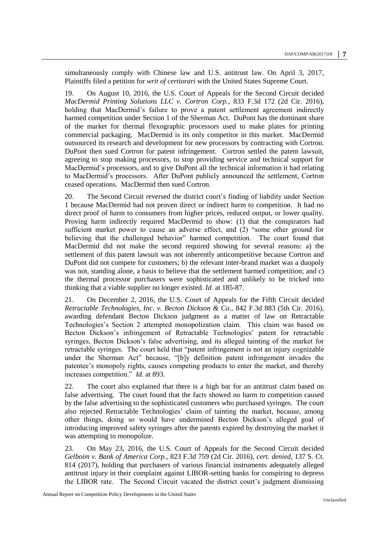simultaneously comply with Chinese law and U.S. antitrust law. On April 3, 2017, Plaintiffs filed a petition for *writ of certiorari* with the United States Supreme Court.

19. On August 10, 2016, the U.S. Court of Appeals for the Second Circuit decided *MacDermid Printing Solutions LLC v. Cortron Corp.*, 833 F.3d 172 (2d Cir. 2016), holding that MacDermid's failure to prove a patent settlement agreement indirectly harmed competition under Section 1 of the Sherman Act. DuPont has the dominant share of the market for thermal flexographic processors used to make plates for printing commercial packaging. MacDermid is its only competitor in this market. MacDermid outsourced its research and development for new processors by contracting with Cortron. DuPont then sued Cortron for patent infringement. Cortron settled the patent lawsuit, agreeing to stop making processors, to stop providing service and technical support for MacDermid's processors, and to give DuPont all the technical information it had relating to MacDermid's processors. After DuPont publicly announced the settlement, Cortron ceased operations. MacDermid then sued Cortron.

20. The Second Circuit reversed the district court's finding of liability under Section 1 because MacDermid had not proven direct or indirect harm to competition. It had no direct proof of harm to consumers from higher prices, reduced output, or lower quality. Proving harm indirectly required MacDermid to show: (1) that the conspirators had sufficient market power to cause an adverse effect, and (2) "some other ground for believing that the challenged behavior" harmed competition. The court found that MacDermid did not make the second required showing for several reasons: a) the settlement of this patent lawsuit was not inherently anticompetitive because Cortron and DuPont did not compete for customers; b) the relevant inter-brand market was a duopoly was not, standing alone, a basis to believe that the settlement harmed competition; and c) the thermal processor purchasers were sophisticated and unlikely to be tricked into thinking that a viable supplier no longer existed. *Id.* at 185-87.

21. On December 2, 2016, the U.S. Court of Appeals for the Fifth Circuit decided *Retractable Technologies, Inc. v. Becton Dickson & Co.,* 842 F.3d 883 (5th Cir. 2016), awarding defendant Becton Dickson judgment as a matter of law on Retractable Technologies's Section 2 attempted monopolization claim. This claim was based on Becton Dickson's infringement of Retractable Technologies' patent for retractable syringes, Becton Dickson's false advertising, and its alleged tainting of the market for retractable syringes. The court held that "patent infringement is not an injury cognizable under the Sherman Act" because, "[b]y definition patent infringement invades the patentee's monopoly rights, causes competing products to enter the market, and thereby increases competition." *Id.* at 893.

22. The court also explained that there is a high bar for an antitrust claim based on false advertising. The court found that the facts showed no harm to competition caused by the false advertising to the sophisticated customers who purchased syringes. The court also rejected Retractable Technologies' claim of tainting the market, because, among other things, doing so would have undermined Becton Dickson's alleged goal of introducing improved safety syringes after the patents expired by destroying the market it was attempting to monopolize.

23. On May 23, 2016, the U.S. Court of Appeals for the Second Circuit decided *Gelboim v. Bank of America Corp.*, 823 F.3d 759 (2d Cir. 2016), *cert. denied*, 137 S. Ct. 814 (2017), holding that purchasers of various financial instruments adequately alleged antitrust injury in their complaint against LIBOR-setting banks for conspiring to depress the LIBOR rate. The Second Circuit vacated the district court's judgment dismissing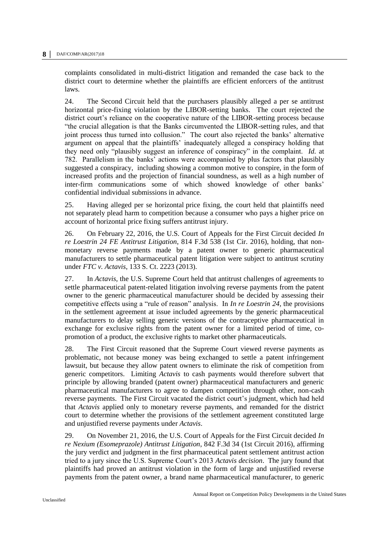complaints consolidated in multi-district litigation and remanded the case back to the district court to determine whether the plaintiffs are efficient enforcers of the antitrust laws.

24. The Second Circuit held that the purchasers plausibly alleged a per se antitrust horizontal price-fixing violation by the LIBOR-setting banks. The court rejected the district court's reliance on the cooperative nature of the LIBOR-setting process because "the crucial allegation is that the Banks circumvented the LIBOR-setting rules, and that joint process thus turned into collusion." The court also rejected the banks' alternative argument on appeal that the plaintiffs' inadequately alleged a conspiracy holding that they need only "plausibly suggest an inference of conspiracy" in the complaint. *Id.* at 782. Parallelism in the banks' actions were accompanied by plus factors that plausibly suggested a conspiracy, including showing a common motive to conspire, in the form of increased profits and the projection of financial soundness, as well as a high number of inter-firm communications some of which showed knowledge of other banks' confidential individual submissions in advance.

25. Having alleged per se horizontal price fixing, the court held that plaintiffs need not separately plead harm to competition because a consumer who pays a higher price on account of horizontal price fixing suffers antitrust injury.

26. On February 22, 2016, the U.S. Court of Appeals for the First Circuit decided *In re Loestrin 24 FE Antitrust Litigation*, 814 F.3d 538 (1st Cir. 2016), holding, that nonmonetary reverse payments made by a patent owner to generic pharmaceutical manufacturers to settle pharmaceutical patent litigation were subject to antitrust scrutiny under *FTC v. Actavis*, 133 S. Ct. 2223 (2013).

27. In *Actavis,* the U.S. Supreme Court held that antitrust challenges of agreements to settle pharmaceutical patent-related litigation involving reverse payments from the patent owner to the generic pharmaceutical manufacturer should be decided by assessing their competitive effects using a "rule of reason" analysis. In *In re Loestrin 24,* the provisions in the settlement agreement at issue included agreements by the generic pharmaceutical manufacturers to delay selling generic versions of the contraceptive pharmaceutical in exchange for exclusive rights from the patent owner for a limited period of time, copromotion of a product, the exclusive rights to market other pharmaceuticals.

28. The First Circuit reasoned that the Supreme Court viewed reverse payments as problematic, not because money was being exchanged to settle a patent infringement lawsuit, but because they allow patent owners to eliminate the risk of competition from generic competitors. Limiting *Actavis* to cash payments would therefore subvert that principle by allowing branded (patent owner) pharmaceutical manufacturers and generic pharmaceutical manufacturers to agree to dampen competition through other, non-cash reverse payments. The First Circuit vacated the district court's judgment, which had held that *Actavis* applied only to monetary reverse payments, and remanded for the district court to determine whether the provisions of the settlement agreement constituted large and unjustified reverse payments under *Actavis*.

29. On November 21, 2016, the U.S. Court of Appeals for the First Circuit decided *In re Nexium (Esomeprazole) Antitrust Litigation*, 842 F.3d 34 (1st Circuit 2016), affirming the jury verdict and judgment in the first pharmaceutical patent settlement antitrust action tried to a jury since the U.S. Supreme Court's 2013 *Actavis decision*. The jury found that plaintiffs had proved an antitrust violation in the form of large and unjustified reverse payments from the patent owner, a brand name pharmaceutical manufacturer, to generic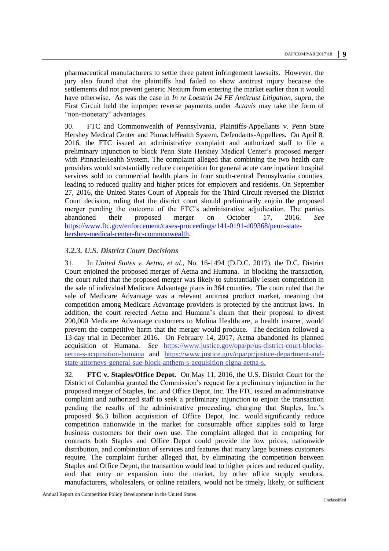pharmaceutical manufacturers to settle three patent infringement lawsuits. However, the jury also found that the plaintiffs had failed to show antitrust injury because the settlements did not prevent generic Nexium from entering the market earlier than it would have otherwise. As was the case in *In re Loestrin 24 FE Antitrust Litigation*, *supra*, the First Circuit held the improper reverse payments under *Actavis* may take the form of "non-monetary" advantages.

30. FTC and Commonwealth of Pennsylvania, Plaintiffs-Appellants v. Penn State Hershey Medical Center and PinnacleHealth System, Defendants-Appellees. On April 8, 2016, the FTC issued an administrative complaint and authorized staff to file a preliminary injunction to block Penn State Hershey Medical Center's proposed merger with PinnacleHealth System. The complaint alleged that combining the two health care providers would substantially reduce competition for general acute care inpatient hospital services sold to commercial health plans in four south-central Pennsylvania counties, leading to reduced quality and higher prices for employers and residents. On September 27, 2016, the United States Court of Appeals for the Third Circuit reversed the District Court decision, ruling that the district court should preliminarily enjoin the proposed merger pending the outcome of the FTC's administrative adjudication. The parties abandoned their proposed merger on October 17, 2016. *See* [https://www.ftc.gov/enforcement/cases-proceedings/141-0191-d09368/penn-state](https://www.ftc.gov/enforcement/cases-proceedings/141-0191-d09368/penn-state-hershey-medical-center-ftc-commonwealth)[hershey-medical-center-ftc-commonwealth.](https://www.ftc.gov/enforcement/cases-proceedings/141-0191-d09368/penn-state-hershey-medical-center-ftc-commonwealth)

#### <span id="page-8-0"></span>*3.2.3. U.S. District Court Decisions*

31. In *United States v. Aetna, et al*., No. 16-1494 (D.D.C. 2017), the D.C. District Court enjoined the proposed merger of Aetna and Humana. In blocking the transaction, the court ruled that the proposed merger was likely to substantially lessen competition in the sale of individual Medicare Advantage plans in 364 counties. The court ruled that the sale of Medicare Advantage was a relevant antitrust product market, meaning that competition among Medicare Advantage providers is protected by the antitrust laws. In addition, the court rejected Aetna and Humana's claim that their proposal to divest 290,000 Medicare Advantage customers to Molina Healthcare, a health insurer, would prevent the competitive harm that the merger would produce. The decision followed a 13-day trial in December 2016. On February 14, 2017, Aetna abandoned its planned acquisition of Humana. *See* [https://www.justice.gov/opa/pr/us-district-court-blocks](https://www.justice.gov/opa/pr/us-district-court-blocks-aetna-s-acquisition-humana)[aetna-s-acquisition-humana](https://www.justice.gov/opa/pr/us-district-court-blocks-aetna-s-acquisition-humana) and [https://www.justice.gov/opa/pr/justice-department-and](https://www.justice.gov/opa/pr/justice-department-and-state-attorneys-general-sue-block-anthem-s-acquisition-cigna-aetna-s)[state-attorneys-general-sue-block-anthem-s-acquisition-cigna-aetna-s.](https://www.justice.gov/opa/pr/justice-department-and-state-attorneys-general-sue-block-anthem-s-acquisition-cigna-aetna-s)

32. **FTC v. Staples/Office Depot.** On May 11, 2016, the U.S. District Court for the District of Columbia granted the Commission's request for a preliminary injunction in the proposed merger of Staples, Inc. and Office Depot, Inc. The FTC issued an administrative complaint and authorized staff to seek a preliminary injunction to enjoin the transaction pending the results of the administrative proceeding, charging that Staples, Inc.'s proposed \$6.3 billion acquisition of Office Depot, Inc. would significantly reduce competition nationwide in the market for consumable office supplies sold to large business customers for their own use. The complaint alleged that in competing for contracts both Staples and Office Depot could provide the low prices, nationwide distribution, and combination of services and features that many large business customers require. The complaint further alleged that, by eliminating the competition between Staples and Office Depot, the transaction would lead to higher prices and reduced quality, and that entry or expansion into the market, by other office supply vendors, manufacturers, wholesalers, or online retailers, would not be timely, likely, or sufficient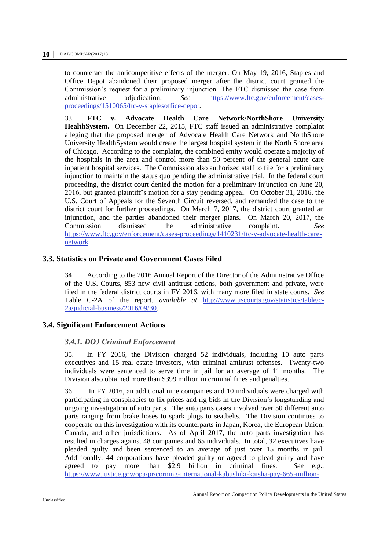to counteract the anticompetitive effects of the merger. On May 19, 2016, Staples and Office Depot abandoned their proposed merger after the district court granted the Commission's request for a preliminary injunction. The FTC dismissed the case from administrative adjudication. *See* [https://www.ftc.gov/enforcement/cases](https://www.ftc.gov/enforcement/cases-proceedings/1510065/ftc-v-staplesoffice-depot)[proceedings/1510065/ftc-v-staplesoffice-depot.](https://www.ftc.gov/enforcement/cases-proceedings/1510065/ftc-v-staplesoffice-depot)

33. **FTC v. Advocate Health Care Network/NorthShore University HealthSystem.** On December 22, 2015, FTC staff issued an administrative complaint alleging that the proposed merger of Advocate Health Care Network and NorthShore University HealthSystem would create the largest hospital system in the North Shore area of Chicago. According to the complaint, the combined entity would operate a majority of the hospitals in the area and control more than 50 percent of the general acute care inpatient hospital services. The Commission also authorized staff to file for a preliminary injunction to maintain the status quo pending the administrative trial. In the federal court proceeding, the district court denied the motion for a preliminary injunction on June 20, 2016, but granted plaintiff's motion for a stay pending appeal. On October 31, 2016, the U.S. Court of Appeals for the Seventh Circuit reversed, and remanded the case to the district court for further proceedings. On March 7, 2017, the district court granted an injunction, and the parties abandoned their merger plans. On March 20, 2017, the Commission dismissed the administrative complaint. *See* [https://www.ftc.gov/enforcement/cases-proceedings/1410231/ftc-v-advocate-health-care](https://www.ftc.gov/enforcement/cases-proceedings/1410231/ftc-v-advocate-health-care-network)[network.](https://www.ftc.gov/enforcement/cases-proceedings/1410231/ftc-v-advocate-health-care-network)

#### <span id="page-9-0"></span>**3.3. Statistics on Private and Government Cases Filed**

34. According to the 2016 Annual Report of the Director of the Administrative Office of the U.S. Courts, 853 new civil antitrust actions, both government and private, were filed in the federal district courts in FY 2016, with many more filed in state courts. *See*  Table C-2A of the report, *available at* [http://www.uscourts.gov/statistics/table/c-](http://www.uscourts.gov/statistics/table/c-2a/judicial-business/2016/09/30)[2a/judicial-business/2016/09/30.](http://www.uscourts.gov/statistics/table/c-2a/judicial-business/2016/09/30)

## <span id="page-9-2"></span><span id="page-9-1"></span>**3.4. Significant Enforcement Actions**

#### *3.4.1. DOJ Criminal Enforcement*

35. In FY 2016, the Division charged 52 individuals, including 10 auto parts executives and 15 real estate investors, with criminal antitrust offenses. Twenty-two individuals were sentenced to serve time in jail for an average of 11 months. The Division also obtained more than \$399 million in criminal fines and penalties.

36. In FY 2016, an additional nine companies and 10 individuals were charged with participating in conspiracies to fix prices and rig bids in the Division's longstanding and ongoing investigation of auto parts. The auto parts cases involved over 50 different auto parts ranging from brake hoses to spark plugs to seatbelts. The Division continues to cooperate on this investigation with its counterparts in Japan, Korea, the European Union, Canada, and other jurisdictions. As of April 2017, the auto parts investigation has resulted in charges against 48 companies and 65 individuals. In total, 32 executives have pleaded guilty and been sentenced to an average of just over 15 months in jail. Additionally, 44 corporations have pleaded guilty or agreed to plead guilty and have agreed to pay more than \$2.9 billion in criminal fines. *See* e.g., [https://www.justice.gov/opa/pr/corning-international-kabushiki-kaisha-pay-665-million-](https://www.justice.gov/opa/pr/corning-international-kabushiki-kaisha-pay-665-million-fixing-prices-automotive-parts)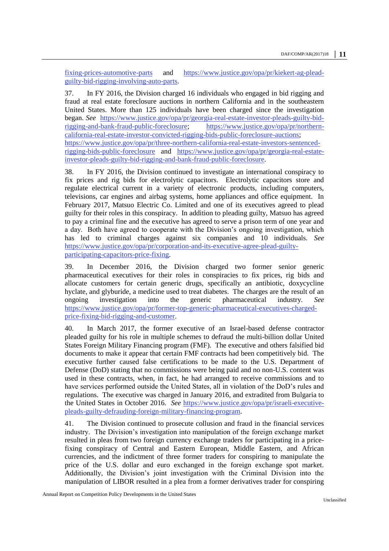[fixing-prices-automotive-parts](https://www.justice.gov/opa/pr/corning-international-kabushiki-kaisha-pay-665-million-fixing-prices-automotive-parts) and [https://www.justice.gov/opa/pr/kiekert-ag-plead](https://www.justice.gov/opa/pr/kiekert-ag-plead-guilty-bid-rigging-involving-auto-parts)[guilty-bid-rigging-involving-auto-parts.](https://www.justice.gov/opa/pr/kiekert-ag-plead-guilty-bid-rigging-involving-auto-parts)

37. In FY 2016, the Division charged 16 individuals who engaged in bid rigging and fraud at real estate foreclosure auctions in northern California and in the southeastern United States. More than 125 individuals have been charged since the investigation began. *See* [https://www.justice.gov/opa/pr/georgia-real-estate-investor-pleads-guilty-bid](https://www.justice.gov/opa/pr/georgia-real-estate-investor-pleads-guilty-bid-rigging-and-bank-fraud-public-foreclosure)[rigging-and-bank-fraud-public-foreclosure;](https://www.justice.gov/opa/pr/georgia-real-estate-investor-pleads-guilty-bid-rigging-and-bank-fraud-public-foreclosure) [https://www.justice.gov/opa/pr/northern](https://www.justice.gov/opa/pr/northern-california-real-estate-investor-convicted-rigging-bids-public-foreclosure-auctions)[california-real-estate-investor-convicted-rigging-bids-public-foreclosure-auctions;](https://www.justice.gov/opa/pr/northern-california-real-estate-investor-convicted-rigging-bids-public-foreclosure-auctions) [https://www.justice.gov/opa/pr/three-northern-california-real-estate-investors-sentenced](https://www.justice.gov/opa/pr/three-northern-california-real-estate-investors-sentenced-rigging-bids-public-foreclosure)[rigging-bids-public-foreclosure](https://www.justice.gov/opa/pr/three-northern-california-real-estate-investors-sentenced-rigging-bids-public-foreclosure) and [https://www.justice.gov/opa/pr/georgia-real-estate](https://www.justice.gov/opa/pr/georgia-real-estate-investor-pleads-guilty-bid-rigging-and-bank-fraud-public-foreclosure)[investor-pleads-guilty-bid-rigging-and-bank-fraud-public-foreclosure.](https://www.justice.gov/opa/pr/georgia-real-estate-investor-pleads-guilty-bid-rigging-and-bank-fraud-public-foreclosure)

38. In FY 2016, the Division continued to investigate an international conspiracy to fix prices and rig bids for electrolytic capacitors. Electrolytic capacitors store and regulate electrical current in a variety of electronic products, including computers, televisions, car engines and airbag systems, home appliances and office equipment. In February 2017, Matsuo Electric Co. Limited and one of its executives agreed to plead guilty for their roles in this conspiracy. In addition to pleading guilty, Matsuo has agreed to pay a criminal fine and the executive has agreed to serve a prison term of one year and a day. Both have agreed to cooperate with the Division's ongoing investigation, which has led to criminal charges against six companies and 10 individuals*. See* [https://www.justice.gov/opa/pr/corporation-and-its-executive-agree-plead-guilty](https://www.justice.gov/opa/pr/corporation-and-its-executive-agree-plead-guilty-participating-capacitors-price-fixing)[participating-capacitors-price-fixing.](https://www.justice.gov/opa/pr/corporation-and-its-executive-agree-plead-guilty-participating-capacitors-price-fixing)

39. In December 2016, the Division charged two former senior generic pharmaceutical executives for their roles in conspiracies to fix prices, rig bids and allocate customers for certain generic drugs, specifically an antibiotic, doxycycline hyclate, and glyburide, a medicine used to treat diabetes. The charges are the result of an ongoing investigation into the generic pharmaceutical industry*. See* [https://www.justice.gov/opa/pr/former-top-generic-pharmaceutical-executives-charged](https://www.justice.gov/opa/pr/former-top-generic-pharmaceutical-executives-charged-price-fixing-bid-rigging-and-customer)[price-fixing-bid-rigging-and-customer.](https://www.justice.gov/opa/pr/former-top-generic-pharmaceutical-executives-charged-price-fixing-bid-rigging-and-customer)

40. In March 2017, the former executive of an Israel-based defense contractor pleaded guilty for his role in multiple schemes to defraud the multi-billion dollar United States Foreign Military Financing program (FMF). The executive and others falsified bid documents to make it appear that certain FMF contracts had been competitively bid. The executive further caused false certifications to be made to the U.S. Department of Defense (DoD) stating that no commissions were being paid and no non-U.S. content was used in these contracts, when, in fact, he had arranged to receive commissions and to have services performed outside the United States, all in violation of the DoD's rules and regulations. The executive was charged in January 2016, and extradited from Bulgaria to the United States in October 2016. *See* [https://www.justice.gov/opa/pr/israeli-executive](https://www.justice.gov/opa/pr/israeli-executive-pleads-guilty-defrauding-foreign-military-financing-program)[pleads-guilty-defrauding-foreign-military-financing-program.](https://www.justice.gov/opa/pr/israeli-executive-pleads-guilty-defrauding-foreign-military-financing-program)

41. The Division continued to prosecute collusion and fraud in the financial services industry. The Division's investigation into manipulation of the foreign exchange market resulted in pleas from two foreign currency exchange traders for participating in a pricefixing conspiracy of Central and Eastern European, Middle Eastern, and African currencies, and the indictment of three former traders for conspiring to manipulate the price of the U.S. dollar and euro exchanged in the foreign exchange spot market. Additionally, the Division's joint investigation with the Criminal Division into the manipulation of LIBOR resulted in a plea from a former derivatives trader for conspiring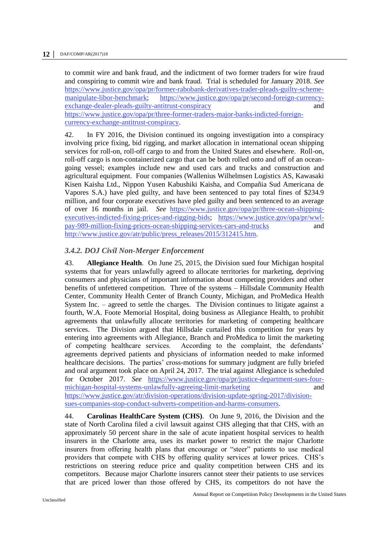to commit wire and bank fraud, and the indictment of two former traders for wire fraud and conspiring to commit wire and bank fraud. Trial is scheduled for January 2018. *See* [https://www.justice.gov/opa/pr/former-rabobank-derivatives-trader-pleads-guilty-scheme](https://www.justice.gov/opa/pr/former-rabobank-derivatives-trader-pleads-guilty-scheme-manipulate-libor-benchmark)[manipulate-libor-benchmark;](https://www.justice.gov/opa/pr/former-rabobank-derivatives-trader-pleads-guilty-scheme-manipulate-libor-benchmark) [https://www.justice.gov/opa/pr/second-foreign-currency](https://www.justice.gov/opa/pr/second-foreign-currency-exchange-dealer-pleads-guilty-antitrust-conspiracy)[exchange-dealer-pleads-guilty-antitrust-conspiracy](https://www.justice.gov/opa/pr/second-foreign-currency-exchange-dealer-pleads-guilty-antitrust-conspiracy) and and [https://www.justice.gov/opa/pr/three-former-traders-major-banks-indicted-foreign](https://www.justice.gov/opa/pr/three-former-traders-major-banks-indicted-foreign-currency-exchange-antitrust-conspiracy)[currency-exchange-antitrust-conspiracy.](https://www.justice.gov/opa/pr/three-former-traders-major-banks-indicted-foreign-currency-exchange-antitrust-conspiracy)

42. In FY 2016, the Division continued its ongoing investigation into a conspiracy involving price fixing, bid rigging, and market allocation in international ocean shipping services for roll-on, roll-off cargo to and from the United States and elsewhere. Roll-on, roll-off cargo is non-containerized cargo that can be both rolled onto and off of an oceangoing vessel; examples include new and used cars and trucks and construction and agricultural equipment. Four companies (Wallenius Wilhelmsen Logistics AS, Kawasaki Kisen Kaisha Ltd., Nippon Yusen Kabushiki Kaisha, and Compañia Sud Americana de Vapores S.A.) have pled guilty, and have been sentenced to pay total fines of \$234.9 million, and four corporate executives have pled guilty and been sentenced to an average of over 16 months in jail. *See* [https://www.justice.gov/opa/pr/three-ocean-shipping](https://www.justice.gov/opa/pr/three-ocean-shipping-executives-indicted-fixing-prices-and-rigging-bids)[executives-indicted-fixing-prices-and-rigging-bids;](https://www.justice.gov/opa/pr/three-ocean-shipping-executives-indicted-fixing-prices-and-rigging-bids) [https://www.justice.gov/opa/pr/wwl](https://www.justice.gov/opa/pr/wwl-pay-989-million-fixing-prices-ocean-shipping-services-cars-and-trucks)[pay-989-million-fixing-prices-ocean-shipping-services-cars-and-trucks](https://www.justice.gov/opa/pr/wwl-pay-989-million-fixing-prices-ocean-shipping-services-cars-and-trucks) and [http://www.justice.gov/atr/public/press\\_releases/2015/312415.htm.](http://www.justice.gov/atr/public/press_releases/2015/312415.htm)

#### <span id="page-11-0"></span>*3.4.2. DOJ Civil Non-Merger Enforcement*

43. **Allegiance Health**. On June 25, 2015, the Division sued four Michigan hospital systems that for years unlawfully agreed to allocate territories for marketing, depriving consumers and physicians of important information about competing providers and other benefits of unfettered competition. Three of the systems – Hillsdale Community Health Center, Community Health Center of Branch County, Michigan, and ProMedica Health System Inc. – agreed to settle the charges. The Division continues to litigate against a fourth, W.A. Foote Memorial Hospital, doing business as Allegiance Health, to prohibit agreements that unlawfully allocate territories for marketing of competing healthcare services. The Division argued that Hillsdale curtailed this competition for years by entering into agreements with Allegiance, Branch and ProMedica to limit the marketing of competing healthcare services. According to the complaint, the defendants' agreements deprived patients and physicians of information needed to make informed healthcare decisions. The parties' cross-motions for summary judgment are fully briefed and oral argument took place on April 24, 2017. The trial against Allegiance is scheduled for October 2017. *See* [https://www.justice.gov/opa/pr/justice-department-sues-four](https://www.justice.gov/opa/pr/justice-department-sues-four-michigan-hospital-systems-unlawfully-agreeing-limit-marketing)[michigan-hospital-systems-unlawfully-agreeing-limit-marketing](https://www.justice.gov/opa/pr/justice-department-sues-four-michigan-hospital-systems-unlawfully-agreeing-limit-marketing) and [https://www.justice.gov/atr/division-operations/division-update-spring-2017/division](https://www.justice.gov/atr/division-operations/division-update-spring-2017/division-sues-companies-stop-conduct-subverts-competition-and-harms-consumers)[sues-companies-stop-conduct-subverts-competition-and-harms-consumers.](https://www.justice.gov/atr/division-operations/division-update-spring-2017/division-sues-companies-stop-conduct-subverts-competition-and-harms-consumers)

44. **Carolinas HealthCare System (CHS)**. On June 9, 2016, the Division and the state of North Carolina filed a civil lawsuit against CHS alleging that that CHS, with an approximately 50 percent share in the sale of acute inpatient hospital services to health insurers in the Charlotte area, uses its market power to restrict the major Charlotte insurers from offering health plans that encourage or "steer" patients to use medical providers that compete with CHS by offering quality services at lower prices. CHS's restrictions on steering reduce price and quality competition between CHS and its competitors. Because major Charlotte insurers cannot steer their patients to use services that are priced lower than those offered by CHS, its competitors do not have the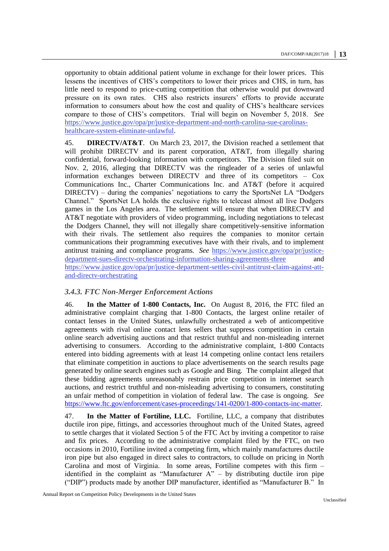opportunity to obtain additional patient volume in exchange for their lower prices. This lessens the incentives of CHS's competitors to lower their prices and CHS, in turn, has little need to respond to price-cutting competition that otherwise would put downward pressure on its own rates. CHS also restricts insurers' efforts to provide accurate information to consumers about how the cost and quality of CHS's healthcare services compare to those of CHS's competitors. Trial will begin on November 5, 2018. *See*  [https://www.justice.gov/opa/pr/justice-department-and-north-carolina-sue-carolinas](https://www.justice.gov/opa/pr/justice-department-and-north-carolina-sue-carolinas-healthcare-system-eliminate-unlawful)[healthcare-system-eliminate-unlawful.](https://www.justice.gov/opa/pr/justice-department-and-north-carolina-sue-carolinas-healthcare-system-eliminate-unlawful)

45. **DIRECTV/AT&T**. On March 23, 2017, the Division reached a settlement that will prohibit DIRECTV and its parent corporation, AT&T, from illegally sharing confidential, forward-looking information with competitors. The Division filed suit on Nov. 2, 2016, alleging that DIRECTV was the ringleader of a series of unlawful information exchanges between DIRECTV and three of its competitors – Cox Communications Inc., Charter Communications Inc. and AT&T (before it acquired DIRECTV) – during the companies' negotiations to carry the SportsNet LA "Dodgers Channel." SportsNet LA holds the exclusive rights to telecast almost all live Dodgers games in the Los Angeles area. The settlement will ensure that when DIRECTV and AT&T negotiate with providers of video programming, including negotiations to telecast the Dodgers Channel, they will not illegally share competitively-sensitive information with their rivals. The settlement also requires the companies to monitor certain communications their programming executives have with their rivals, and to implement antitrust training and compliance programs. *See* [https://www.justice.gov/opa/pr/justice](https://www.justice.gov/opa/pr/justice-department-sues-directv-orchestrating-information-sharing-agreements-three)[department-sues-directv-orchestrating-information-sharing-agreements-three](https://www.justice.gov/opa/pr/justice-department-sues-directv-orchestrating-information-sharing-agreements-three) [https://www.justice.gov/opa/pr/justice-department-settles-civil-antitrust-claim-against-att](https://www.justice.gov/opa/pr/justice-department-settles-civil-antitrust-claim-against-att-and-directv-orchestrating)[and-directv-orchestrating](https://www.justice.gov/opa/pr/justice-department-settles-civil-antitrust-claim-against-att-and-directv-orchestrating)

#### <span id="page-12-0"></span>*3.4.3. FTC Non-Merger Enforcement Actions*

46. **In the Matter of 1-800 Contacts, Inc.** On August 8, 2016, the FTC filed an administrative complaint charging that 1-800 Contacts, the largest online retailer of contact lenses in the United States, unlawfully orchestrated a web of anticompetitive agreements with rival online contact lens sellers that suppress competition in certain online search advertising auctions and that restrict truthful and non-misleading internet advertising to consumers. According to the administrative complaint, 1-800 Contacts entered into bidding agreements with at least 14 competing online contact lens retailers that eliminate competition in auctions to place advertisements on the search results page generated by online search engines such as Google and Bing. The complaint alleged that these bidding agreements unreasonably restrain price competition in internet search auctions, and restrict truthful and non-misleading advertising to consumers, constituting an unfair method of competition in violation of federal law. The case is ongoing. *See* [https://www.ftc.gov/enforcement/cases-proceedings/141-0200/1-800-contacts-inc-matter.](https://www.ftc.gov/enforcement/cases-proceedings/141-0200/1-800-contacts-inc-matter)

47. **In the Matter of Fortiline, LLC.** Fortiline, LLC, a company that distributes ductile iron pipe, fittings, and accessories throughout much of the United States, agreed to settle charges that it violated Section 5 of the FTC Act by inviting a competitor to raise and fix prices. According to the administrative complaint filed by the FTC, on two occasions in 2010, Fortiline invited a competing firm, which mainly manufactures ductile iron pipe but also engaged in direct sales to contractors, to collude on pricing in North Carolina and most of Virginia. In some areas, Fortiline competes with this firm – identified in the complaint as "Manufacturer  $A$ " – by distributing ductile iron pipe ("DIP") products made by another DIP manufacturer, identified as "Manufacturer B." In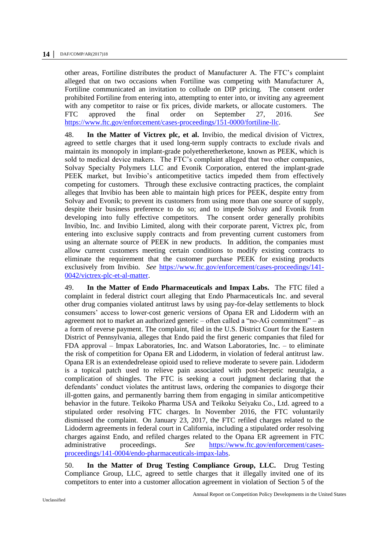other areas, Fortiline distributes the product of Manufacturer A. The FTC's complaint alleged that on two occasions when Fortiline was competing with Manufacturer A, Fortiline communicated an invitation to collude on DIP pricing. The consent order prohibited Fortiline from entering into, attempting to enter into, or inviting any agreement with any competitor to raise or fix prices, divide markets, or allocate customers. The FTC approved the final order on September 27, 2016. *See* [https://www.ftc.gov/enforcement/cases-proceedings/151-0000/fortiline-llc.](https://www.ftc.gov/enforcement/cases-proceedings/151-0000/fortiline-llc)

48. **In the Matter of Victrex plc, et al.** Invibio, the medical division of Victrex, agreed to settle charges that it used long-term supply contracts to exclude rivals and maintain its monopoly in implant-grade polyetheretherketone, known as PEEK, which is sold to medical device makers. The FTC's complaint alleged that two other companies, Solvay Specialty Polymers LLC and Evonik Corporation, entered the implant-grade PEEK market, but Invibio's anticompetitive tactics impeded them from effectively competing for customers. Through these exclusive contracting practices, the complaint alleges that Invibio has been able to maintain high prices for PEEK, despite entry from Solvay and Evonik; to prevent its customers from using more than one source of supply, despite their business preference to do so; and to impede Solvay and Evonik from developing into fully effective competitors. The consent order generally prohibits Invibio, Inc. and Invibio Limited, along with their corporate parent, Victrex plc, from entering into exclusive supply contracts and from preventing current customers from using an alternate source of PEEK in new products. In addition, the companies must allow current customers meeting certain conditions to modify existing contracts to eliminate the requirement that the customer purchase PEEK for existing products exclusively from Invibio. *See* [https://www.ftc.gov/enforcement/cases-proceedings/141-](https://www.ftc.gov/enforcement/cases-proceedings/141-0042/victrex-plc-et-al-matter) [0042/victrex-plc-et-al-matter.](https://www.ftc.gov/enforcement/cases-proceedings/141-0042/victrex-plc-et-al-matter)

49. **In the Matter of Endo Pharmaceuticals and Impax Labs.** The FTC filed a complaint in federal district court alleging that Endo Pharmaceuticals Inc. and several other drug companies violated antitrust laws by using pay-for-delay settlements to block consumers' access to lower-cost generic versions of Opana ER and Lidoderm with an agreement not to market an authorized generic – often called a "no-AG commitment" – as a form of reverse payment. The complaint, filed in the U.S. District Court for the Eastern District of Pennsylvania, alleges that Endo paid the first generic companies that filed for FDA approval – Impax Laboratories, Inc. and Watson Laboratories, Inc. – to eliminate the risk of competition for Opana ER and Lidoderm, in violation of federal antitrust law. Opana ER is an extendedrelease opioid used to relieve moderate to severe pain. Lidoderm is a topical patch used to relieve pain associated with post-herpetic neuralgia, a complication of shingles. The FTC is seeking a court judgment declaring that the defendants' conduct violates the antitrust laws, ordering the companies to disgorge their ill-gotten gains, and permanently barring them from engaging in similar anticompetitive behavior in the future. Teikoko Pharma USA and Teikoku Seiyaku Co., Ltd. agreed to a stipulated order resolving FTC charges. In November 2016, the FTC voluntarily dismissed the complaint. On January 23, 2017, the FTC refiled charges related to the Lidoderm agreements in federal court in California, including a stipulated order resolving charges against Endo, and refiled charges related to the Opana ER agreement in FTC administrative proceedings. *See* [https://www.ftc.gov/enforcement/cases](https://www.ftc.gov/enforcement/cases-proceedings/141-0004/endo-pharmaceuticals-impax-labs)[proceedings/141-0004/endo-pharmaceuticals-impax-labs.](https://www.ftc.gov/enforcement/cases-proceedings/141-0004/endo-pharmaceuticals-impax-labs)

50. **In the Matter of Drug Testing Compliance Group, LLC.** Drug Testing Compliance Group, LLC, agreed to settle charges that it illegally invited one of its competitors to enter into a customer allocation agreement in violation of Section 5 of the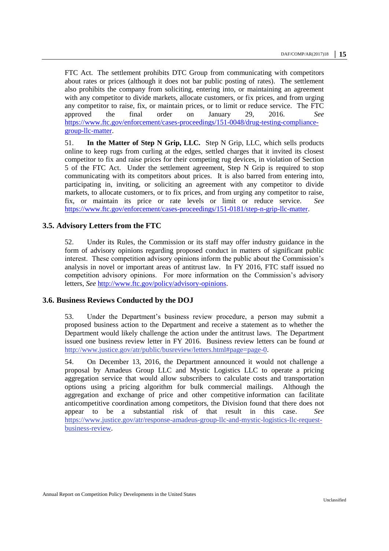FTC Act. The settlement prohibits DTC Group from communicating with competitors about rates or prices (although it does not bar public posting of rates). The settlement also prohibits the company from soliciting, entering into, or maintaining an agreement with any competitor to divide markets, allocate customers, or fix prices, and from urging any competitor to raise, fix, or maintain prices, or to limit or reduce service. The FTC approved the final order on January 29, 2016. *See* [https://www.ftc.gov/enforcement/cases-proceedings/151-0048/drug-testing-compliance](https://www.ftc.gov/enforcement/cases-proceedings/151-0048/drug-testing-compliance-group-llc-matter)[group-llc-matter.](https://www.ftc.gov/enforcement/cases-proceedings/151-0048/drug-testing-compliance-group-llc-matter)

51. **In the Matter of Step N Grip, LLC.** Step N Grip, LLC, which sells products online to keep rugs from curling at the edges, settled charges that it invited its closest competitor to fix and raise prices for their competing rug devices, in violation of Section 5 of the FTC Act. Under the settlement agreement, Step N Grip is required to stop communicating with its competitors about prices. It is also barred from entering into, participating in, inviting, or soliciting an agreement with any competitor to divide markets, to allocate customers, or to fix prices, and from urging any competitor to raise, fix, or maintain its price or rate levels or limit or reduce service. *See* [https://www.ftc.gov/enforcement/cases-proceedings/151-0181/step-n-grip-llc-matter.](https://www.ftc.gov/enforcement/cases-proceedings/151-0181/step-n-grip-llc-matter)

#### <span id="page-14-0"></span>**3.5. Advisory Letters from the FTC**

52. Under its Rules, the Commission or its staff may offer industry guidance in the form of advisory opinions regarding proposed conduct in matters of significant public interest. These competition advisory opinions inform the public about the Commission's analysis in novel or important areas of antitrust law. In FY 2016, FTC staff issued no competition advisory opinions. For more information on the Commission's advisory letters, *See* [http://www.ftc.gov/policy/advisory-opinions.](http://www.ftc.gov/policy/advisory-opinions)

#### <span id="page-14-1"></span>**3.6. Business Reviews Conducted by the DOJ**

53. Under the Department's business review procedure, a person may submit a proposed business action to the Department and receive a statement as to whether the Department would likely challenge the action under the antitrust laws. The Department issued one business review letter in FY 2016. Business review letters can be found *at*  [http://www.justice.gov/atr/public/busreview/letters.html#page=page-0.](http://www.justice.gov/atr/public/busreview/letters.html#page=page-0)

54. On December 13, 2016, the Department announced it would not challenge a proposal by Amadeus Group LLC and Mystic Logistics LLC to operate a pricing aggregation service that would allow subscribers to calculate costs and transportation options using a pricing algorithm for bulk commercial mailings. Although the aggregation and exchange of price and other competitive information can facilitate anticompetitive coordination among competitors, the Division found that there does not appear to be a substantial risk of that result in this case. *See*  [https://www.justice.gov/atr/response-amadeus-group-llc-and-mystic-logistics-llc-request](https://www.justice.gov/atr/response-amadeus-group-llc-and-mystic-logistics-llc-request-business-review)[business-review.](https://www.justice.gov/atr/response-amadeus-group-llc-and-mystic-logistics-llc-request-business-review)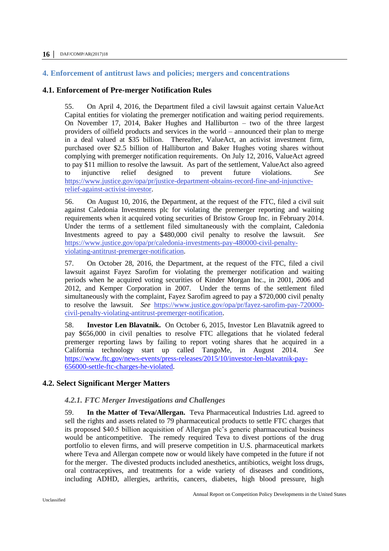#### <span id="page-15-0"></span>**4. Enforcement of antitrust laws and policies; mergers and concentrations**

#### <span id="page-15-1"></span>**4.1. Enforcement of Pre-merger Notification Rules**

55. On April 4, 2016, the Department filed a civil lawsuit against certain ValueAct Capital entities for violating the premerger notification and waiting period requirements. On November 17, 2014, Baker Hughes and Halliburton – two of the three largest providers of oilfield products and services in the world – announced their plan to merge in a deal valued at \$35 billion. Thereafter, ValueAct, an activist investment firm, purchased over \$2.5 billion of Halliburton and Baker Hughes voting shares without complying with premerger notification requirements. On July 12, 2016, ValueAct agreed to pay \$11 million to resolve the lawsuit. As part of the settlement, ValueAct also agreed to injunctive relief designed to prevent future violations. *See*  [https://www.justice.gov/opa/pr/justice-department-obtains-record-fine-and-injunctive](https://www.justice.gov/opa/pr/justice-department-obtains-record-fine-and-injunctive-relief-against-activist-investor)[relief-against-activist-investor.](https://www.justice.gov/opa/pr/justice-department-obtains-record-fine-and-injunctive-relief-against-activist-investor)

56. On August 10, 2016, the Department, at the request of the FTC, filed a civil suit against Caledonia Investments plc for violating the premerger reporting and waiting requirements when it acquired voting securities of Bristow Group Inc. in February 2014. Under the terms of a settlement filed simultaneously with the complaint, Caledonia Investments agreed to pay a \$480,000 civil penalty to resolve the lawsuit. *See*  [https://www.justice.gov/opa/pr/caledonia-investments-pay-480000-civil-penalty](https://www.justice.gov/opa/pr/caledonia-investments-pay-480000-civil-penalty-violating-antitrust-premerger-notification)[violating-antitrust-premerger-notification.](https://www.justice.gov/opa/pr/caledonia-investments-pay-480000-civil-penalty-violating-antitrust-premerger-notification)

57. On October 28, 2016, the Department, at the request of the FTC, filed a civil lawsuit against Fayez Sarofim for violating the premerger notification and waiting periods when he acquired voting securities of Kinder Morgan Inc., in 2001, 2006 and 2012, and Kemper Corporation in 2007. Under the terms of the settlement filed simultaneously with the complaint, Fayez Sarofim agreed to pay a \$720,000 civil penalty to resolve the lawsuit. *See* [https://www.justice.gov/opa/pr/fayez-sarofim-pay-720000](https://www.justice.gov/opa/pr/fayez-sarofim-pay-720000-civil-penalty-violating-antitrust-premerger-notification) [civil-penalty-violating-antitrust-premerger-notification.](https://www.justice.gov/opa/pr/fayez-sarofim-pay-720000-civil-penalty-violating-antitrust-premerger-notification)

58. **Investor Len Blavatnik.** On October 6, 2015, Investor [Len Blavatnik agreed to](https://www.ftc.gov/system/files/documents/cases/151006blavatnikjudgment.pdf)  [pay \\$656,000 in civil penalties](https://www.ftc.gov/system/files/documents/cases/151006blavatnikjudgment.pdf) to resolve [FTC allegations that he violated federal](https://www.ftc.gov/system/files/documents/cases/151006blavatnikcmpt.pdf)  [premerger reporting laws](https://www.ftc.gov/system/files/documents/cases/151006blavatnikcmpt.pdf) by failing to report voting shares that he acquired in a California technology start up called TangoMe, in August 2014. *See* [https://www.ftc.gov/news-events/press-releases/2015/10/investor-len-blavatnik-pay-](https://www.ftc.gov/news-events/press-releases/2015/10/investor-len-blavatnik-pay-656000-settle-ftc-charges-he-violated)[656000-settle-ftc-charges-he-violated.](https://www.ftc.gov/news-events/press-releases/2015/10/investor-len-blavatnik-pay-656000-settle-ftc-charges-he-violated)

#### <span id="page-15-3"></span><span id="page-15-2"></span>**4.2. Select Significant Merger Matters**

#### *4.2.1. FTC Merger Investigations and Challenges*

59. **In the Matter of Teva/Allergan.** Teva Pharmaceutical Industries Ltd. agreed to sell the rights and assets related to 79 pharmaceutical products to settle FTC charges that its proposed \$40.5 billion acquisition of Allergan plc's generic pharmaceutical business would be anticompetitive. The remedy required Teva to divest portions of the drug portfolio to eleven firms, and will preserve competition in U.S. pharmaceutical markets where Teva and Allergan compete now or would likely have competed in the future if not for the merger. The divested products included anesthetics, antibiotics, weight loss drugs, oral contraceptives, and treatments for a wide variety of diseases and conditions, including ADHD, allergies, arthritis, cancers, diabetes, high blood pressure, high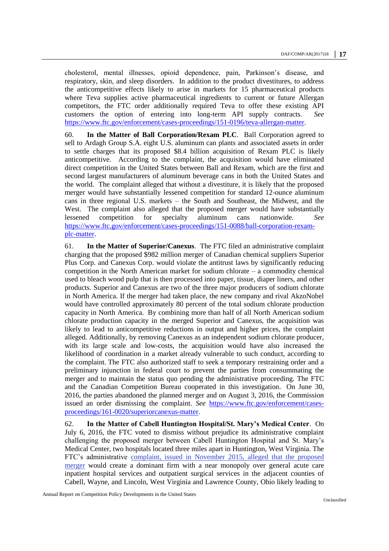cholesterol, mental illnesses, opioid dependence, pain, Parkinson's disease, and respiratory, skin, and sleep disorders. In addition to the product divestitures, to address the anticompetitive effects likely to arise in markets for 15 pharmaceutical products where Teva supplies active pharmaceutical ingredients to current or future Allergan competitors, the FTC order additionally required Teva to offer these existing API customers the option of entering into long-term API supply contracts. *See* [https://www.ftc.gov/enforcement/cases-proceedings/151-0196/teva-allergan-matter.](https://www.ftc.gov/enforcement/cases-proceedings/151-0196/teva-allergan-matter)

60. **In the Matter of Ball Corporation/Rexam PLC**. Ball Corporation agreed to sell to Ardagh Group S.A. eight U.S. aluminum can plants and associated assets in order to settle charges that its proposed \$8.4 billion acquisition of Rexam PLC is likely anticompetitive. According to the complaint, the acquisition would have eliminated direct competition in the United States between Ball and Rexam, which are the first and second largest manufacturers of aluminum beverage cans in both the United States and the world. The complaint alleged that without a divestiture, it is likely that the proposed merger would have substantially lessened competition for standard 12-ounce aluminum cans in three regional U.S. markets – the South and Southeast, the Midwest, and the West. The complaint also alleged that the proposed merger would have substantially lessened competition for specialty aluminum cans nationwide. *See* [https://www.ftc.gov/enforcement/cases-proceedings/151-0088/ball-corporation-rexam](https://www.ftc.gov/enforcement/cases-proceedings/151-0088/ball-corporation-rexam-plc-matter)[plc-matter.](https://www.ftc.gov/enforcement/cases-proceedings/151-0088/ball-corporation-rexam-plc-matter)

61. **In the Matter of Superior/Canexus**. The FTC filed an administrative complaint charging that the proposed \$982 million merger of Canadian chemical suppliers Superior Plus Corp. and Canexus Corp. would violate the antitrust laws by significantly reducing competition in the North American market for sodium chlorate – a commodity chemical used to bleach wood pulp that is then processed into paper, tissue, diaper liners, and other products. Superior and Canexus are two of the three major producers of sodium chlorate in North America. If the merger had taken place, the new company and rival AkzoNobel would have controlled approximately 80 percent of the total sodium chlorate production capacity in North America. By combining more than half of all North American sodium chlorate production capacity in the merged Superior and Canexus, the acquisition was likely to lead to anticompetitive reductions in output and higher prices, the complaint alleged. Additionally, by removing Canexus as an independent sodium chlorate producer, with its large scale and low-costs, the acquisition would have also increased the likelihood of coordination in a market already vulnerable to such conduct, according to the complaint. The FTC also authorized staff to seek a temporary restraining order and a preliminary injunction in federal court to prevent the parties from consummating the merger and to maintain the status quo pending the administrative proceeding. The FTC and the Canadian Competition Bureau cooperated in this investigation. On June 30, 2016, the parties abandoned the planned merger and on August 3, 2016, the Commission issued an order dismissing the complaint. *See* [https://www.ftc.gov/enforcement/cases](https://www.ftc.gov/enforcement/cases-proceedings/161-0020/superiorcanexus-matter)[proceedings/161-0020/superiorcanexus-matter.](https://www.ftc.gov/enforcement/cases-proceedings/161-0020/superiorcanexus-matter)

62. **In the Matter of Cabell Huntington Hospital/St. Mary's Medical Center**. On July 6, 2016, the FTC voted to dismiss without prejudice its administrative complaint challenging the proposed merger between Cabell Huntington Hospital and St. Mary's Medical Center, two hospitals located three miles apart in Huntington, West Virginia. The FTC's administrative [complaint, issued in November 2015, alleged that the proposed](https://www.ftc.gov/news-events/press-releases/2015/11/ftc-challenges-proposed-merger-two-west-virginia-hospitals)  [merger](https://www.ftc.gov/news-events/press-releases/2015/11/ftc-challenges-proposed-merger-two-west-virginia-hospitals) would create a dominant firm with a near monopoly over general acute care inpatient hospital services and outpatient surgical services in the adjacent counties of Cabell, Wayne, and Lincoln, West Virginia and Lawrence County, Ohio likely leading to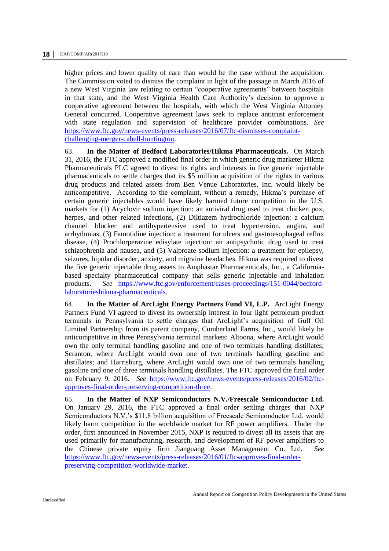higher prices and lower quality of care than would be the case without the acquisition. The Commission voted to dismiss the complaint in light of the passage in March 2016 of a new West Virginia law relating to certain "cooperative agreements" between hospitals in that state, and the West Virginia Health Care Authority's decision to approve a cooperative agreement between the hospitals, with which the West Virginia Attorney General concurred. Cooperative agreement laws seek to replace antitrust enforcement with state regulation and supervision of healthcare provider combinations. *See* [https://www.ftc.gov/news-events/press-releases/2016/07/ftc-dismisses-complaint](https://www.ftc.gov/news-events/press-releases/2016/07/ftc-dismisses-complaint-challenging-merger-cabell-huntington)[challenging-merger-cabell-huntington.](https://www.ftc.gov/news-events/press-releases/2016/07/ftc-dismisses-complaint-challenging-merger-cabell-huntington)

63. **In the Matter of Bedford Laboratories/Hikma Pharmaceuticals.** On March 31, 2016, the FTC approved a modified final order in which generic drug marketer Hikma Pharmaceuticals PLC agreed to divest its rights and interests in five generic injectable pharmaceuticals to settle charges that its \$5 million acquisition of the rights to various drug products and related assets from Ben Venue Laboratories, Inc. would likely be anticompetitive. According to the complaint, without a remedy, Hikma's purchase of certain generic injectables would have likely harmed future competition in the U.S. markets for (1) Acyclovir sodium injection: an antiviral drug used to treat chicken pox, herpes, and other related infections, (2) Diltiazem hydrochloride injection: a calcium channel blocker and antihypertensive used to treat hypertension, angina, and arrhythmias, (3) Famotidine injection: a treatment for ulcers and gastroesophageal reflux disease, (4) Prochlorperazine edisylate injection: an antipsychotic drug used to treat schizophrenia and nausea, and (5) Valproate sodium injection: a treatment for epilepsy, seizures, bipolar disorder, anxiety, and migraine headaches. Hikma was required to divest the five generic injectable drug assets to Amphastar Pharmaceuticals, Inc., a Californiabased specialty pharmaceutical company that sells generic injectable and inhalation products. *See* [https://www.ftc.gov/enforcement/cases-proceedings/151-0044/bedford](https://www.ftc.gov/enforcement/cases-proceedings/151-0044/bedford-laboratorieshikma-pharmaceuticals)[laboratorieshikma-pharmaceuticals.](https://www.ftc.gov/enforcement/cases-proceedings/151-0044/bedford-laboratorieshikma-pharmaceuticals)

64. **In the Matter of ArcLight Energy Partners Fund VI, L.P.** ArcLight Energy Partners Fund VI agreed to divest its ownership interest in four light petroleum product terminals in Pennsylvania to settle charges that ArcLight's acquisition of Gulf Oil Limited Partnership from its parent company, Cumberland Farms, Inc., would likely be anticompetitive in three Pennsylvania terminal markets: Altoona, where ArcLight would own the only terminal handling gasoline and one of two terminals handling distillates; Scranton, where ArcLight would own one of two terminals handling gasoline and distillates; and Harrisburg, where ArcLight would own one of two terminals handling gasoline and one of three terminals handling distillates. The FTC approved the final order on February 9, 2016. *See* [https://www.ftc.gov/news-events/press-releases/2016/02/ftc](https://www.ftc.gov/news-events/press-releases/2016/02/ftc-approves-final-order-preserving-competition-three)[approves-final-order-preserving-competition-three.](https://www.ftc.gov/news-events/press-releases/2016/02/ftc-approves-final-order-preserving-competition-three)

65. **In the Matter of NXP Semiconductors N.V./Freescale Semiconductor Ltd.** On January 29, 2016, the FTC approved a [final order](https://www.ftc.gov/system/files/documents/cases/160129nxpdo.pdf) settling charges that NXP Semiconductors N.V.'s \$11.8 billion acquisition of Freescale Semiconductor Ltd. would likely harm competition in the worldwide market for RF power amplifiers. Under the [order, first announced in November 2015, NXP](https://www.ftc.gov/news-events/press-releases/2015/11/ftc-requires-nxp-semiconductors-nv-divest-rf-power-amplifier) is required to divest all its assets that are used primarily for manufacturing, research, and development of RF power amplifiers to the Chinese private equity firm Jianguang Asset Management Co. Ltd. *See* [https://www.ftc.gov/news-events/press-releases/2016/01/ftc-approves-final-order](https://www.ftc.gov/news-events/press-releases/2016/01/ftc-approves-final-order-preserving-competition-worldwide-market)[preserving-competition-worldwide-market.](https://www.ftc.gov/news-events/press-releases/2016/01/ftc-approves-final-order-preserving-competition-worldwide-market)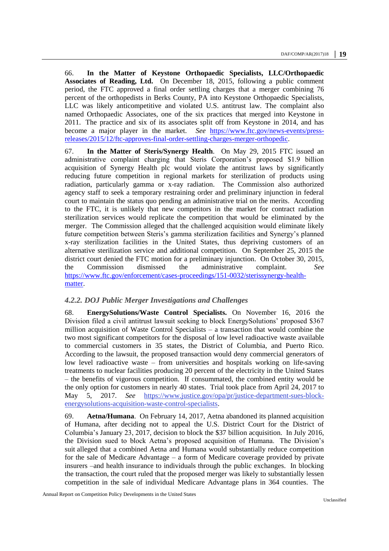66. **In the Matter of Keystone Orthopaedic Specialists, LLC/Orthopaedic Associates of Reading, Ltd.** On December 18, 2015, following a public comment period, the FTC approved a [final order settling charges](https://www.ftc.gov/system/files/documents/cases/151218keystonedo.pdf) that [a merger combining 76](https://www.ftc.gov/news-events/press-releases/2015/10/two-pennsylvania-orthopedic-practices-settle-ftc-charges-merger)  [percent of the orthopedists in Berks County, PA into Keystone Orthopaedic Specialists,](https://www.ftc.gov/news-events/press-releases/2015/10/two-pennsylvania-orthopedic-practices-settle-ftc-charges-merger)  [LLC was likely anticompetitive](https://www.ftc.gov/news-events/press-releases/2015/10/two-pennsylvania-orthopedic-practices-settle-ftc-charges-merger) and violated U.S. antitrust law. The complaint also named Orthopaedic Associates, one of the six practices that merged into Keystone in 2011. The practice and six of its associates split off from Keystone in 2014, and has become a major player in the market. *See* [https://www.ftc.gov/news-events/press](https://www.ftc.gov/news-events/press-releases/2015/12/ftc-approves-final-order-settling-charges-merger-orthopedic)[releases/2015/12/ftc-approves-final-order-settling-charges-merger-orthopedic.](https://www.ftc.gov/news-events/press-releases/2015/12/ftc-approves-final-order-settling-charges-merger-orthopedic)

67. **In the Matter of Steris/Synergy Health**. On May 29, 2015 FTC issued an administrative complaint charging that Steris Corporation's proposed \$1.9 billion acquisition of Synergy Health plc would violate the antitrust laws by significantly reducing future competition in regional markets for sterilization of products using radiation, particularly gamma or x-ray radiation. The Commission also authorized agency staff to seek a temporary restraining order and preliminary injunction in federal court to maintain the status quo pending an administrative trial on the merits. According to the FTC, it is unlikely that new competitors in the market for contract radiation sterilization services would replicate the competition that would be eliminated by the merger. The Commission alleged that the challenged acquisition would eliminate likely future competition between Steris's gamma sterilization facilities and Synergy's planned x-ray sterilization facilities in the United States, thus depriving customers of an alternative sterilization service and additional competition. On September 25, 2015 the district court denied the FTC motion for a preliminary injunction. On October 30, 2015, the Commission dismissed the administrative complaint. *See*  [https://www.ftc.gov/enforcement/cases-proceedings/151-0032/sterissynergy-health](https://www.ftc.gov/enforcement/cases-proceedings/151-0032/sterissynergy-health-matter)[matter.](https://www.ftc.gov/enforcement/cases-proceedings/151-0032/sterissynergy-health-matter)

#### <span id="page-18-0"></span>*4.2.2. DOJ Public Merger Investigations and Challenges*

68. **EnergySolutions/Waste Control Specialists.** On November 16, 2016 the Division filed a civil antitrust lawsuit seeking to block EnergySolutions' proposed \$367 million acquisition of Waste Control Specialists – a transaction that would combine the two most significant competitors for the disposal of low level radioactive waste available to commercial customers in 35 states, the District of Columbia, and Puerto Rico. According to the lawsuit, the proposed transaction would deny commercial generators of low level radioactive waste – from universities and hospitals working on life-saving treatments to nuclear facilities producing 20 percent of the electricity in the United States – the benefits of vigorous competition. If consummated, the combined entity would be the only option for customers in nearly 40 states. Trial took place from April 24, 2017 to May 5, 2017. *See* [https://www.justice.gov/opa/pr/justice-department-sues-block](https://www.justice.gov/opa/pr/justice-department-sues-block-energysolutions-acquisition-waste-control-specialists)[energysolutions-acquisition-waste-control-specialists.](https://www.justice.gov/opa/pr/justice-department-sues-block-energysolutions-acquisition-waste-control-specialists)

69. **Aetna/Humana**. On February 14, 2017, Aetna abandoned its planned acquisition of Humana, after deciding not to appeal the U.S. District Court for the District of Columbia's January 23, 2017, decision to block the \$37 billion acquisition. In July 2016, the Division sued to block Aetna's proposed acquisition of Humana. The Division's suit alleged that a combined Aetna and Humana would substantially reduce competition for the sale of Medicare Advantage – a form of Medicare coverage provided by private insurers –and health insurance to individuals through the public exchanges. In blocking the transaction, the court ruled that the proposed merger was likely to substantially lessen competition in the sale of individual Medicare Advantage plans in 364 counties. The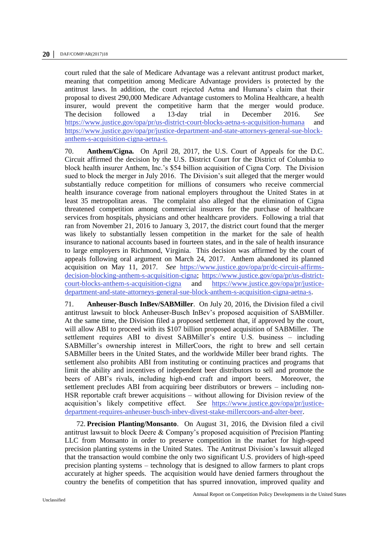court ruled that the sale of Medicare Advantage was a relevant antitrust product market, meaning that competition among Medicare Advantage providers is protected by the antitrust laws. In addition, the court rejected Aetna and Humana's claim that their proposal to divest 290,000 Medicare Advantage customers to Molina Healthcare, a health insurer, would prevent the competitive harm that the merger would produce. The decision followed a 13-day trial in December 2016. *See*  <https://www.justice.gov/opa/pr/us-district-court-blocks-aetna-s-acquisition-humana> and [https://www.justice.gov/opa/pr/justice-department-and-state-attorneys-general-sue-block](https://www.justice.gov/opa/pr/justice-department-and-state-attorneys-general-sue-block-anthem-s-acquisition-cigna-aetna-s)[anthem-s-acquisition-cigna-aetna-s.](https://www.justice.gov/opa/pr/justice-department-and-state-attorneys-general-sue-block-anthem-s-acquisition-cigna-aetna-s)

70. **Anthem/Cigna.** On April 28, 2017, the U.S. Court of Appeals for the D.C. Circuit affirmed the decision by the U.S. District Court for the District of Columbia to block health insurer Anthem, Inc.'s \$54 billion acquisition of Cigna Corp. The Division sued to block the merger in July 2016. The Division's suit alleged that the merger would substantially reduce competition for millions of consumers who receive commercial health insurance coverage from national employers throughout the United States in at least 35 metropolitan areas. The complaint also alleged that the elimination of Cigna threatened competition among commercial insurers for the purchase of healthcare services from hospitals, physicians and other healthcare providers. Following a trial that ran from November 21, 2016 to January 3, 2017, the district court found that the merger was likely to substantially lessen competition in the market for the sale of health insurance to national accounts based in fourteen states, and in the sale of health insurance to large employers in Richmond, Virginia. This decision was affirmed by the court of appeals following oral argument on March 24, 2017. Anthem abandoned its planned acquisition on May 11, 2017. *See* [https://www.justice.gov/opa/pr/dc-circuit-affirms](https://www.justice.gov/opa/pr/dc-circuit-affirms-decision-blocking-anthem-s-acquisition-cigna)[decision-blocking-anthem-s-acquisition-cigna;](https://www.justice.gov/opa/pr/dc-circuit-affirms-decision-blocking-anthem-s-acquisition-cigna) [https://www.justice.gov/opa/pr/us-district](https://www.justice.gov/opa/pr/us-district-court-blocks-anthem-s-acquisition-cigna)[court-blocks-anthem-s-acquisition-cigna](https://www.justice.gov/opa/pr/us-district-court-blocks-anthem-s-acquisition-cigna) and [https://www.justice.gov/opa/pr/justice](https://www.justice.gov/opa/pr/justice-department-and-state-attorneys-general-sue-block-anthem-s-acquisition-cigna-aetna-s)[department-and-state-attorneys-general-sue-block-anthem-s-acquisition-cigna-aetna-s.](https://www.justice.gov/opa/pr/justice-department-and-state-attorneys-general-sue-block-anthem-s-acquisition-cigna-aetna-s)

71. **Anheuser-Busch InBev/SABMiller**. On July 20, 2016, the Division filed a civil antitrust lawsuit to block Anheuser-Busch InBev's proposed acquisition of SABMiller. At the same time, the Division filed a proposed settlement that, if approved by the court, will allow ABI to proceed with its \$107 billion proposed acquisition of SABMiller. The settlement requires ABI to divest SABMiller's entire U.S. business – including SABMiller's ownership interest in MillerCoors, the right to brew and sell certain SABMiller beers in the United States, and the worldwide Miller beer brand rights. The settlement also prohibits ABI from instituting or continuing practices and programs that limit the ability and incentives of independent beer distributors to sell and promote the beers of ABI's rivals, including high-end craft and import beers. Moreover, the settlement precludes ABI from acquiring beer distributors or brewers – including non-HSR reportable craft brewer acquisitions – without allowing for Division review of the acquisition's likely competitive effect. *See* [https://www.justice.gov/opa/pr/justice](https://www.justice.gov/opa/pr/justice-department-requires-anheuser-busch-inbev-divest-stake-millercoors-and-alter-beer)[department-requires-anheuser-busch-inbev-divest-stake-millercoors-and-alter-beer.](https://www.justice.gov/opa/pr/justice-department-requires-anheuser-busch-inbev-divest-stake-millercoors-and-alter-beer) 

72. **Precision Planting/Monsanto**. On August 31, 2016, the Division filed a civil antitrust lawsuit to block Deere & Company's proposed acquisition of Precision Planting LLC from Monsanto in order to preserve competition in the market for high-speed precision planting systems in the United States. The Antitrust Division's lawsuit alleged that the transaction would combine the only two significant U.S. providers of high-speed precision planting systems – technology that is designed to allow farmers to plant crops accurately at higher speeds. The acquisition would have denied farmers throughout the country the benefits of competition that has spurred innovation, improved quality and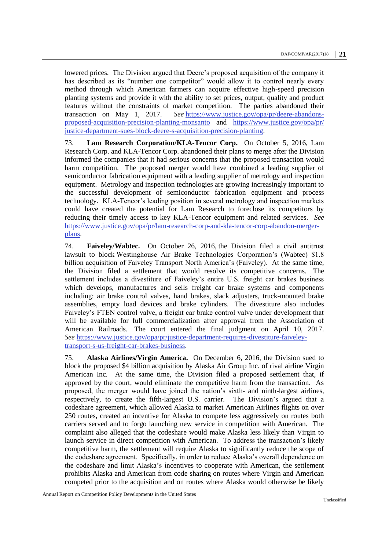lowered prices. The Division argued that Deere's proposed acquisition of the company it has described as its "number one competitor" would allow it to control nearly every method through which American farmers can acquire effective high-speed precision planting systems and provide it with the ability to set prices, output, quality and product features without the constraints of market competition. The parties abandoned their transaction on May 1, 2017. *See* [https://www.justice.gov/opa/pr/deere-abandons](https://www.justice.gov/opa/pr/deere-abandons-proposed-acquisition-precision-planting-monsanto)[proposed-acquisition-precision-planting-monsanto](https://www.justice.gov/opa/pr/deere-abandons-proposed-acquisition-precision-planting-monsanto) and [https://www.justice.gov/opa/pr/](https://www.justice.gov/opa/pr/justice-department-sues-block-deere-s-acquisition-precision-planting) [justice-department-sues-block-deere-s-acquisition-precision-planting.](https://www.justice.gov/opa/pr/justice-department-sues-block-deere-s-acquisition-precision-planting)

73. **Lam Research Corporation/KLA-Tencor Corp.** On October 5, 2016, Lam Research Corp. and KLA-Tencor Corp. abandoned their plans to merge after the Division informed the companies that it had serious concerns that the proposed transaction would harm competition. The proposed merger would have combined a leading supplier of semiconductor fabrication equipment with a leading supplier of metrology and inspection equipment. Metrology and inspection technologies are growing increasingly important to the successful development of semiconductor fabrication equipment and process technology. KLA-Tencor's leading position in several metrology and inspection markets could have created the potential for Lam Research to foreclose its competitors by reducing their timely access to key KLA-Tencor equipment and related services. *See*  [https://www.justice.gov/opa/pr/lam-research-corp-and-kla-tencor-corp-abandon-merger](https://www.justice.gov/opa/pr/lam-research-corp-and-kla-tencor-corp-abandon-merger-plans)[plans.](https://www.justice.gov/opa/pr/lam-research-corp-and-kla-tencor-corp-abandon-merger-plans)

74. **Faiveley/Wabtec.** On October 26, 2016, the Division filed a civil antitrust lawsuit to block Westinghouse Air Brake Technologies Corporation's (Wabtec) \$1.8 billion acquisition of Faiveley Transport North America's (Faiveley). At the same time, the Division filed a settlement that would resolve its competitive concerns. The settlement includes a divestiture of Faiveley's entire U.S. freight car brakes business which develops, manufactures and sells freight car brake systems and components including: air brake control valves, hand brakes, slack adjusters, truck-mounted brake assemblies, empty load devices and brake cylinders. The divestiture also includes Faiveley's FTEN control valve, a freight car brake control valve under development that will be available for full commercialization after approval from the Association of American Railroads. The court entered the final judgment on April 10, 2017. *See* [https://www.justice.gov/opa/pr/justice-department-requires-divestiture-faiveley](https://www.justice.gov/opa/pr/justice-department-requires-divestiture-faiveley-transport-s-us-freight-car-brakes-business)[transport-s-us-freight-car-brakes-business.](https://www.justice.gov/opa/pr/justice-department-requires-divestiture-faiveley-transport-s-us-freight-car-brakes-business)

75. **Alaska Airlines/Virgin America.** On December 6, 2016, the Division sued to block the proposed \$4 billion acquisition by Alaska Air Group Inc. of rival airline Virgin American Inc. At the same time, the Division filed a proposed settlement that, if approved by the court, would eliminate the competitive harm from the transaction. As proposed, the merger would have joined the nation's sixth- and ninth-largest airlines, respectively, to create the fifth-largest U.S. carrier. The Division's argued that a codeshare agreement, which allowed Alaska to market American Airlines flights on over 250 routes, created an incentive for Alaska to compete less aggressively on routes both carriers served and to forgo launching new service in competition with American. The complaint also alleged that the codeshare would make Alaska less likely than Virgin to launch service in direct competition with American. To address the transaction's likely competitive harm, the settlement will require Alaska to significantly reduce the scope of the codeshare agreement. Specifically, in order to reduce Alaska's overall dependence on the codeshare and limit Alaska's incentives to cooperate with American, the settlement prohibits Alaska and American from code sharing on routes where Virgin and American competed prior to the acquisition and on routes where Alaska would otherwise be likely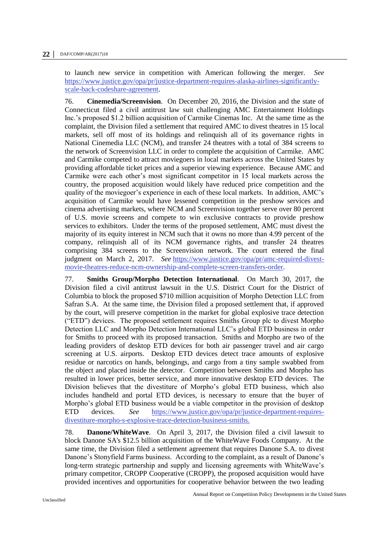to launch new service in competition with American following the merger. *See*  [https://www.justice.gov/opa/pr/justice-department-requires-alaska-airlines-significantly](https://www.justice.gov/opa/pr/justice-department-requires-alaska-airlines-significantly-scale-back-codeshare-agreement)[scale-back-codeshare-agreement.](https://www.justice.gov/opa/pr/justice-department-requires-alaska-airlines-significantly-scale-back-codeshare-agreement)

76. **Cinemedia/Screenvision**. On December 20, 2016, the Division and the state of Connecticut filed a civil antitrust law suit challenging AMC Entertainment Holdings Inc.'s proposed \$1.2 billion acquisition of Carmike Cinemas Inc. At the same time as the complaint, the Division filed a settlement that required AMC to divest theatres in 15 local markets, sell off most of its holdings and relinquish all of its governance rights in National Cinemedia LLC (NCM), and transfer 24 theatres with a total of 384 screens to the network of Screenvision LLC in order to complete the acquisition of Carmike. AMC and Carmike competed to attract moviegoers in local markets across the United States by providing affordable ticket prices and a superior viewing experience. Because AMC and Carmike were each other's most significant competitor in 15 local markets across the country, the proposed acquisition would likely have reduced price competition and the quality of the moviegoer's experience in each of these local markets. In addition, AMC's acquisition of Carmike would have lessened competition in the preshow services and cinema advertising markets, where NCM and Screenvision together serve over 80 percent of U.S. movie screens and compete to win exclusive contracts to provide preshow services to exhibitors. Under the terms of the proposed settlement, AMC must divest the majority of its equity interest in NCM such that it owns no more than 4.99 percent of the company, relinquish all of its NCM governance rights, and transfer 24 theatres comprising 384 screens to the Screenvision network. The court entered the final judgment on March 2, 2017. *See* [https://www.justice.gov/opa/pr/amc-required-divest](https://www.justice.gov/opa/pr/amc-required-divest-movie-theatres-reduce-ncm-ownership-and-complete-screen-transfers-order)[movie-theatres-reduce-ncm-ownership-and-complete-screen-transfers-order.](https://www.justice.gov/opa/pr/amc-required-divest-movie-theatres-reduce-ncm-ownership-and-complete-screen-transfers-order)

77. **Smiths Group/Morpho Detection International**. On March 30, 2017, the Division filed a civil antitrust lawsuit in the U.S. District Court for the District of Columbia to block the proposed \$710 million acquisition of Morpho Detection LLC from Safran S.A. At the same time, the Division filed a proposed settlement that, if approved by the court, will preserve competition in the market for global explosive trace detection ("ETD") devices. The proposed settlement requires Smiths Group plc to divest Morpho Detection LLC and Morpho Detection International LLC's global ETD business in order for Smiths to proceed with its proposed transaction. Smiths and Morpho are two of the leading providers of desktop ETD devices for both air passenger travel and air cargo screening at U.S. airports. Desktop ETD devices detect trace amounts of explosive residue or narcotics on hands, belongings, and cargo from a tiny sample swabbed from the object and placed inside the detector. Competition between Smiths and Morpho has resulted in lower prices, better service, and more innovative desktop ETD devices. The Division believes that the divestiture of Morpho's global ETD business, which also includes handheld and portal ETD devices, is necessary to ensure that the buyer of Morpho's global ETD business would be a viable competitor in the provision of desktop ETD devices. *See* [https://www.justice.gov/opa/pr/justice-department-requires](https://www.justice.gov/opa/pr/justice-department-requires-divestiture-morpho-s-explosive-trace-detection-business-smiths)[divestiture-morpho-s-explosive-trace-detection-business-smiths.](https://www.justice.gov/opa/pr/justice-department-requires-divestiture-morpho-s-explosive-trace-detection-business-smiths)

78. **Danone/WhiteWave**. On April 3, 2017, the Division filed a civil lawsuit to block Danone SA's \$12.5 billion acquisition of the WhiteWave Foods Company. At the same time, the Division filed a settlement agreement that requires Danone S.A. to divest Danone's Stonyfield Farms business. According to the complaint, as a result of Danone's long-term strategic partnership and supply and licensing agreements with WhiteWave's primary competitor, CROPP Cooperative (CROPP), the proposed acquisition would have provided incentives and opportunities for cooperative behavior between the two leading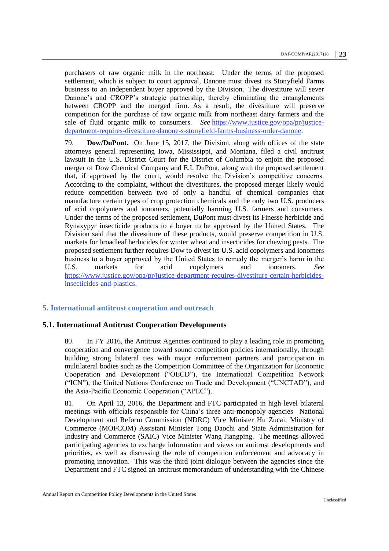purchasers of raw organic milk in the northeast. Under the terms of the proposed settlement, which is subject to court approval, Danone must divest its Stonyfield Farms business to an independent buyer approved by the Division. The divestiture will sever Danone's and CROPP's strategic partnership, thereby eliminating the entanglements between CROPP and the merged firm. As a result, the divestiture will preserve competition for the purchase of raw organic milk from northeast dairy farmers and the sale of fluid organic milk to consumers. *See* [https://www.justice.gov/opa/pr/justice](https://www.justice.gov/opa/pr/justice-department-requires-divestiture-danone-s-stonyfield-farms-business-order-danone)[department-requires-divestiture-danone-s-stonyfield-farms-business-order-danone.](https://www.justice.gov/opa/pr/justice-department-requires-divestiture-danone-s-stonyfield-farms-business-order-danone)

79. **Dow/DuPont.** On June 15, 2017, the Division, along with offices of the state attorneys general representing Iowa, Mississippi, and Montana, filed a civil antitrust lawsuit in the U.S. District Court for the District of Columbia to enjoin the proposed merger of Dow Chemical Company and E.I. DuPont, along with the proposed settlement that, if approved by the court, would resolve the Division's competitive concerns. According to the complaint, without the divestitures, the proposed merger likely would reduce competition between two of only a handful of chemical companies that manufacture certain types of crop protection chemicals and the only two U.S. producers of acid copolymers and ionomers, potentially harming U.S. farmers and consumers. Under the terms of the proposed settlement, DuPont must divest its Finesse herbicide and Rynaxypyr insecticide products to a buyer to be approved by the United States. The Division said that the divestiture of these products, would preserve competition in U.S. markets for broadleaf herbicides for winter wheat and insecticides for chewing pests. The proposed settlement further requires Dow to divest its U.S. acid copolymers and ionomers business to a buyer approved by the United States to remedy the merger's harm in the U.S. markets for acid copolymers and ionomers. *See* [https://www.justice.gov/opa/pr/justice-department-requires-divestiture-certain-herbicides](https://www.justice.gov/opa/pr/justice-department-requires-divestiture-certain-herbicides-insecticides-and-plastics.)[insecticides-and-plastics.](https://www.justice.gov/opa/pr/justice-department-requires-divestiture-certain-herbicides-insecticides-and-plastics.)

#### <span id="page-22-0"></span>**5. International antitrust cooperation and outreach**

#### <span id="page-22-1"></span>**5.1. International Antitrust Cooperation Developments**

80. In FY 2016, the Antitrust Agencies continued to play a leading role in promoting cooperation and convergence toward sound competition policies internationally, through building strong bilateral ties with major enforcement partners and participation in multilateral bodies such as the Competition Committee of the Organization for Economic Cooperation and Development ("OECD"), the International Competition Network ("ICN"), the United Nations Conference on Trade and Development ("UNCTAD"), and the Asia-Pacific Economic Cooperation ("APEC").

81. On April 13, 2016, the Department and FTC participated in high level bilateral meetings with officials responsible for China's three anti-monopoly agencies –National Development and Reform Commission (NDRC) Vice Minister Hu Zucai, Ministry of Commerce (MOFCOM) Assistant Minister Tong Daochi and State Administration for Industry and Commerce (SAIC) Vice Minister Wang Jiangping. The meetings allowed participating agencies to exchange information and views on antitrust developments and priorities, as well as discussing the role of competition enforcement and advocacy in promoting innovation. This was the third joint dialogue between the agencies since the Department and FTC signed an antitrust memorandum of understanding with the Chinese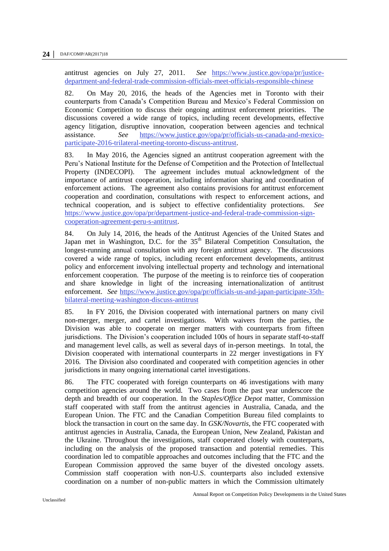antitrust agencies on July 27, 2011. *See* [https://www.justice.gov/opa/pr/justice](https://www.justice.gov/opa/pr/justice-department-and-federal-trade-commission-officials-meet-officials-responsible-chinese)[department-and-federal-trade-commission-officials-meet-officials-responsible-chinese](https://www.justice.gov/opa/pr/justice-department-and-federal-trade-commission-officials-meet-officials-responsible-chinese)

82. On May 20, 2016, the heads of the Agencies met in Toronto with their counterparts from Canada's Competition Bureau and Mexico's Federal Commission on Economic Competition to discuss their ongoing antitrust enforcement priorities. The discussions covered a wide range of topics, including recent developments, effective agency litigation, disruptive innovation, cooperation between agencies and technical assistance. *See* [https://www.justice.gov/opa/pr/officials-us-canada-and-mexico](https://www.justice.gov/opa/pr/officials-us-canada-and-mexico-participate-2016-trilateral-meeting-toronto-discuss-antitrust)[participate-2016-trilateral-meeting-toronto-discuss-antitrust.](https://www.justice.gov/opa/pr/officials-us-canada-and-mexico-participate-2016-trilateral-meeting-toronto-discuss-antitrust)

83. In May 2016, the Agencies signed an antitrust cooperation agreement with the Peru's National Institute for the Defense of Competition and the Protection of Intellectual Property (INDECOPI). The agreement includes mutual acknowledgment of the importance of antitrust cooperation, including information sharing and coordination of enforcement actions. The agreement also contains provisions for antitrust enforcement *coo*peration and coordination, consultations with respect to enforcement actions, and technical cooperation, and is subject to effective confidentiality protections. *See*  [https://www.justice.gov/opa/pr/department-justice-and-federal-trade-commission-sign](https://www.justice.gov/opa/pr/department-justice-and-federal-trade-commission-sign-cooperation-agreement-peru-s-antitrust)[cooperation-agreement-peru-s-antitrust.](https://www.justice.gov/opa/pr/department-justice-and-federal-trade-commission-sign-cooperation-agreement-peru-s-antitrust)

84. On July 14, 2016, the heads of the Antitrust Agencies of the United States and Japan met in Washington, D.C. for the 35<sup>th</sup> Bilateral Competition Consultation, the longest-running annual consultation with any foreign antitrust agency. The discussions covered a wide range of topics, including recent enforcement developments, antitrust policy and enforcement involving intellectual property and technology and international enforcement cooperation. The purpose of the meeting is to reinforce ties of cooperation and share knowledge in light of the increasing internationalization of antitrust enforcement. *See* [https://www.justice.gov/opa/pr/officials-us-and-japan-participate-35th](https://www.justice.gov/opa/pr/officials-us-and-japan-participate-35th-bilateral-meeting-washington-discuss-antitrust)[bilateral-meeting-washington-discuss-antitrust](https://www.justice.gov/opa/pr/officials-us-and-japan-participate-35th-bilateral-meeting-washington-discuss-antitrust)

85. In FY 2016, the Division cooperated with international partners on many civil non-merger, merger, and cartel investigations. With waivers from the parties, the Division was able to cooperate on merger matters with counterparts from fifteen jurisdictions. The Division's cooperation included 100s of hours in separate staff-to-staff and management level calls, as well as several days of in-person meetings. In total, the Division cooperated with international counterparts in 22 merger investigations in FY 2016*.* The Division also coordinated and cooperated with competition agencies in other jurisdictions in many ongoing international cartel investigations.

86. The FTC cooperated with foreign counterparts on 46 investigations with many competition agencies around the world. Two cases from the past year underscore the depth and breadth of our cooperation. In the *Staples/Office Depot* matter, Commission staff cooperated with staff from the antitrust agencies in Australia, Canada, and the European Union. The FTC and the Canadian Competition Bureau filed complaints to block the transaction in court on the same day. In *GSK/Novartis*, the FTC cooperated with antitrust agencies in Australia, Canada, the European Union, New Zealand, Pakistan and the Ukraine. Throughout the investigations, staff cooperated closely with counterparts, including on the analysis of the proposed transaction and potential remedies. This coordination led to compatible approaches and outcomes including that the FTC and the European Commission approved the same buyer of the divested oncology assets. Commission staff cooperation with non-U.S. counterparts also included extensive coordination on a number of non-public matters in which the Commission ultimately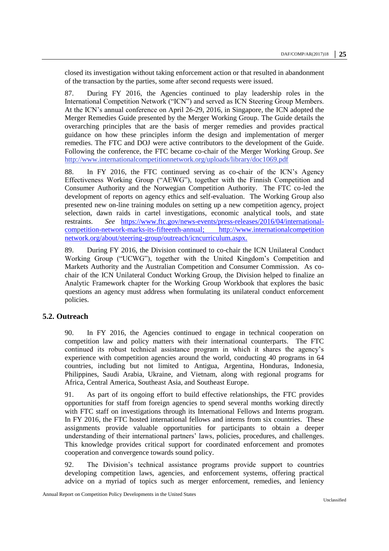closed its investigation without taking enforcement action or that resulted in abandonment of the transaction by the parties, some after second requests were issued.

87. During FY 2016, the Agencies continued to play leadership roles in the International Competition Network ("ICN") and served as ICN Steering Group Members. At the ICN's annual conference on April 26-29, 2016, in Singapore, the ICN adopted the Merger Remedies Guide presented by the Merger Working Group. The Guide details the overarching principles that are the basis of merger remedies and provides practical guidance on how these principles inform the design and implementation of merger remedies. The FTC and DOJ were active contributors to the development of the Guide. Following the conference, the FTC became co-chair of the Merger Working Group. *See* <http://www.internationalcompetitionnetwork.org/uploads/library/doc1069.pdf>

88. In FY 2016, the FTC continued serving as co-chair of the ICN's Agency Effectiveness Working Group ("AEWG"), together with the Finnish Competition and Consumer Authority and the Norwegian Competition Authority. The FTC co-led the development of reports on agency ethics and self-evaluation. The Working Group also presented new on-line training modules on setting up a new competition agency, project selection, dawn raids in cartel investigations, economic analytical tools, and state restraint*s. See* [https://www.ftc.gov/news-events/press-releases/2016/04/international](http://www.internationalcompetitionnetwork.org/uploads/library/doc1028.pdf)[competition-network-marks-its-fifteenth-annual;](http://www.internationalcompetitionnetwork.org/uploads/library/doc1028.pdf) http://www.internationalcompetition network.org/about/steering-group/outreach/icncurriculum.aspx.

89. During FY 2016, the Division continued to co-chair the ICN Unilateral Conduct Working Group ("UCWG"), together with the United Kingdom's Competition and Markets Authority and the Australian Competition and Consumer Commission. As cochair of the ICN Unilateral Conduct Working Group, the Division helped to finalize an Analytic Framework chapter for the Working Group Workbook that explores the basic questions an agency must address when formulating its unilateral conduct enforcement policies.

#### <span id="page-24-0"></span>**5.2. Outreach**

90. In FY 2016, the Agencies continued to engage in technical cooperation on competition law and policy matters with their international counterparts. The FTC continued its robust technical assistance program in which it shares the agency's experience with competition agencies around the world, conducting 40 programs in 64 countries, including but not limited to Antigua, Argentina, Honduras, Indonesia, Philippines, Saudi Arabia, Ukraine, and Vietnam, along with regional programs for Africa, Central America, Southeast Asia, and Southeast Europe.

91. As part of its ongoing effort to build effective relationships, the FTC provides opportunities for staff from foreign agencies to spend several months working directly with FTC staff on investigations through its International Fellows and Interns program. In FY 2016, the FTC hosted international fellows and interns from six countries. These assignments provide valuable opportunities for participants to obtain a deeper understanding of their international partners' laws, policies, procedures, and challenges. This knowledge provides critical support for coordinated enforcement and promotes cooperation and convergence towards sound policy.

92. The Division's technical assistance programs provide support to countries developing competition laws, agencies, and enforcement systems, offering practical advice on a myriad of topics such as merger enforcement, remedies, and leniency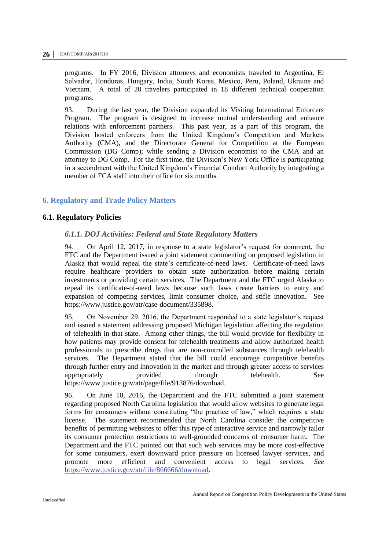programs. In FY 2016, Division attorneys and economists traveled to Argentina, El Salvador, Honduras, Hungary, India, South Korea, Mexico, Peru, Poland, Ukraine and Vietnam. A total of 20 travelers participated in 18 different technical cooperation programs.

93. During the last year, the Division expanded its Visiting International Enforcers Program. The program is designed to increase mutual understanding and enhance relations with enforcement partners. This past year, as a part of this program, the Division hosted enforcers from the United Kingdom's Competition and Markets Authority (CMA), and the Directorate General for Competition at the European Commission (DG Comp); while sending a Division economist to the CMA and an attorney to DG Comp. For the first time, the Division's New York Office is participating in a secondment with the United Kingdom's Financial Conduct Authority by integrating a member of FCA staff into their office for six months.

#### <span id="page-25-0"></span>**6. Regulatory and Trade Policy Matters**

#### <span id="page-25-2"></span><span id="page-25-1"></span>**6.1. Regulatory Policies**

#### *6.1.1. DOJ Activities: Federal and State Regulatory Matters*

94. On April 12, 2017, in response to a state legislator's request for comment, the FTC and the Department issued a joint statement commenting on proposed legislation in Alaska that would repeal the state's certificate-of-need laws. Certificate-of-need laws require healthcare providers to obtain state authorization before making certain investments or providing certain services. The Department and the FTC urged Alaska to repeal its certificate-of-need laws because such laws create barriers to entry and expansion of competing services, limit consumer choice, and stifle innovation. See [https://www.justice.gov/atr/case-document/335898.](https://www.justice.gov/atr/case-document/335898)

95. On November 29, 2016, the Department responded to a state legislator's request and issued a statement addressing proposed Michigan legislation affecting the regulation of telehealth in that state. Among other things, the bill would provide for flexibility in how patients may provide consent for telehealth treatments and allow authorized health professionals to prescribe drugs that are non-controlled substances through telehealth services. The Department stated that the bill could encourage competitive benefits through further entry and innovation in the market and through greater access to services appropriately provided through telehealth. See [https://www.justice.gov/atr/page/file/913876/download.](https://www.justice.gov/atr/page/file/913876/download)

96. On June 10, 2016, the Department and the FTC submitted a joint statement regarding proposed North Carolina legislation that would allow websites to generate legal forms for consumers without constituting "the practice of law," which requires a state license. The statement recommended that North Carolina consider the competitive benefits of permitting websites to offer this type of interactive service and narrowly tailor its consumer protection restrictions to well-grounded concerns of consumer harm. The Department and the FTC pointed out that such web services may be more cost-effective for some consumers, exert downward price pressure on licensed lawyer services, and promote more efficient and convenient access to legal services. *See*  [https://www.justice.gov/atr/file/866666/download.](https://www.justice.gov/atr/file/866666/download)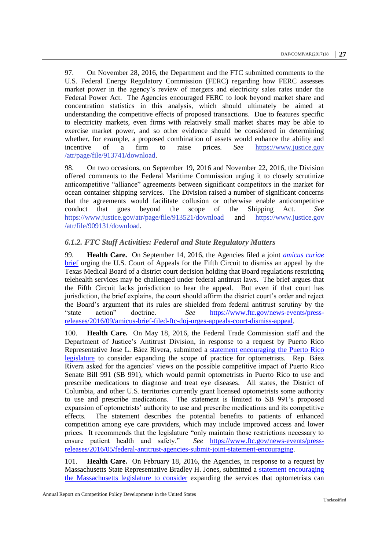97. On November 28, 2016, the Department and the FTC submitted comments to the U.S. Federal Energy Regulatory Commission (FERC) regarding how FERC assesses market power in the agency's review of mergers and electricity sales rates under the Federal Power Act. The Agencies encouraged FERC to look beyond market share and concentration statistics in this analysis, which should ultimately be aimed at understanding the competitive effects of proposed transactions. Due to features specific to electricity markets, even firms with relatively small market shares may be able to exercise market power, and so other evidence should be considered in determining whether, for *exa*mple, a proposed combination of assets would enhance the ability and incentive of a firm to raise prices. *See* [https://www.justice.gov](https://www.justice.gov/atr/page/file/913741/download) [/atr/page/file/913741/download.](https://www.justice.gov/atr/page/file/913741/download)

98. On two occasions, on September 19, 2016 and November 22, 2016, the Division offered comments to the Federal Maritime Commission urging it to closely scrutinize anticompetitive "alliance" agreements between significant competitors in the market for ocean container shipping services. The Division raised a number of significant concerns that the agreements would facilitate collusion or otherwise enable anticompetitive conduct that goes beyond the scope of the Shipping Act. *See*  <https://www.justice.gov/atr/page/file/913521/download> and [https://www.justice.gov](https://www.justice.gov/atr/file/909131/download) [/atr/file/909131/download.](https://www.justice.gov/atr/file/909131/download)

#### <span id="page-26-0"></span>*6.1.2. FTC Staff Activities: Federal and State Regulatory Matters*

99. **Health Care.** On September 14, 2016, the Agencies filed a joint *[amicus curiae](https://www.ftc.gov/policy/advocacy/amicus-briefs/2016/09/teladoc-incorporated-et-al-v-texas-medical-board-et-al)* [brief](https://www.ftc.gov/policy/advocacy/amicus-briefs/2016/09/teladoc-incorporated-et-al-v-texas-medical-board-et-al) urging the U.S. Court of Appeals for the Fifth Circuit to dismiss an appeal by the Texas Medical Board of a district court decision holding that Board regulations restricting telehealth services may be challenged under federal antitrust laws. The brief argues that the Fifth Circuit lacks jurisdiction to hear the appeal. But even if that court has jurisdiction, the brief explains, the court should affirm the district court's order and reject the Board's argument that its rules are shielded from federal antitrust scrutiny by the "state action" doctrine. *See* [https://www.ftc.gov/news-events/press](https://www.ftc.gov/news-events/press-releases/2016/09/amicus-brief-filed-ftc-doj-urges-appeals-court-dismiss-appeal)[releases/2016/09/amicus-brief-filed-ftc-doj-urges-appeals-court-dismiss-appeal.](https://www.ftc.gov/news-events/press-releases/2016/09/amicus-brief-filed-ftc-doj-urges-appeals-court-dismiss-appeal)

100. **Health Care.** On May 18, 2016, the Federal Trade Commission staff and the Department of Justice's Antitrust Division, in response to a request by Puerto Rico Representative Jose L. Báez Rivera, submitted a [statement encouraging the Puerto Rico](https://www.ftc.gov/policy/policy-actions/advocacy-filings/2016/05/ftc-staffdoj-joint-comment-puerto-rico-legislature)  [legislature](https://www.ftc.gov/policy/policy-actions/advocacy-filings/2016/05/ftc-staffdoj-joint-comment-puerto-rico-legislature) to consider expanding the scope of practice for optometrists. Rep. Báez Rivera asked for the agencies' views on the possible competitive impact of Puerto Rico Senate Bill 991 (SB 991), which would permit optometrists in Puerto Rico to use and prescribe medications to diagnose and treat eye diseases. All states, the District of Columbia, and other U.S. territories currently grant licensed optometrists some authority to use and prescribe medications. The statement is limited to SB 991's proposed expansion of optometrists' authority to use and prescribe medications and its competitive effects. The statement describes the potential benefits to patients of enhanced competition among eye care providers, which may include improved access and lower prices. It recommends that the legislature "only maintain those restrictions necessary to ensure patient health and safety." See https://www.ftc.gov/news-events/pressSee [https://www.ftc.gov/news-events/press](https://www.ftc.gov/news-events/press-releases/2016/05/federal-antitrust-agencies-submit-joint-statement-encouraging)[releases/2016/05/federal-antitrust-agencies-submit-joint-statement-encouraging.](https://www.ftc.gov/news-events/press-releases/2016/05/federal-antitrust-agencies-submit-joint-statement-encouraging)

101. **Health Care.** On February 18, 2016, the Agencies, in response to a request by Massachusetts State Representative Bradley H. Jones, submitted a [statement encouraging](https://www.ftc.gov/policy/policy-actions/advocacy-filings/2016/02/ftc-usdoj-joint-comment-massachusetts-house)  [the Massachusetts legislature to](https://www.ftc.gov/policy/policy-actions/advocacy-filings/2016/02/ftc-usdoj-joint-comment-massachusetts-house) consider expanding the services that optometrists can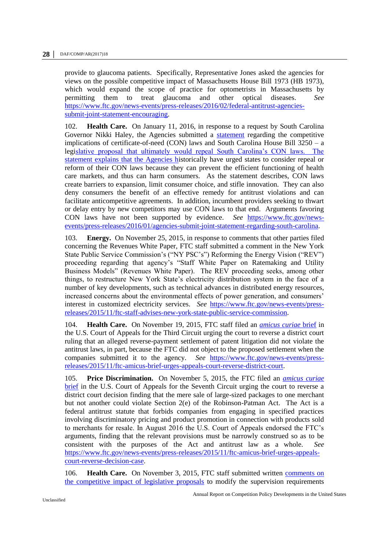provide to glaucoma patients. Specifically, Representative Jones asked the agencies for views on the possible competitive impact of Massachusetts House Bill 1973 (HB 1973), which would expand the scope of practice for optometrists in Massachusetts by permitting them to treat glaucoma and other optical diseases. *See* [https://www.ftc.gov/news-events/press-releases/2016/02/federal-antitrust-agencies](https://www.ftc.gov/news-events/press-releases/2016/02/federal-antitrust-agencies-submit-joint-statement-encouraging)[submit-joint-statement-encouraging.](https://www.ftc.gov/news-events/press-releases/2016/02/federal-antitrust-agencies-submit-joint-statement-encouraging)

102. **Health Care.** On January 11, 2016, in response to a request by South Carolina Governor Nikki Haley, the Agencies submitted a [statement](https://www.ftc.gov/policy/policy-actions/advocacy-filings/2016/01/joint-statement-federal-trade-commission-antitrust) regarding the competitive implications of certificate-of-need (CON) laws and South Carolina House Bill 3250 – a legislative proposal that ultimately would repeal South Carolina's CON laws. The statement explains that the Agencies historically have urged states to consider repeal or reform of their CON laws because they can prevent the efficient functioning of health care markets, and thus can harm consumers. As the statement describes, CON laws create barriers to expansion, limit consumer choice, and stifle innovation. They can also deny consumers the benefit of an effective remedy for antitrust violations and can facilitate anticompetitive agreements. In addition, incumbent providers seeking to thwart or delay entry by new competitors may use CON laws to that end. Arguments favoring CON laws have not been supported by evidence. *See* [https://www.ftc.gov/news](https://www.ftc.gov/news-events/press-releases/2016/01/agencies-submit-joint-statement-regarding-south-carolina)[events/press-releases/2016/01/agencies-submit-joint-statement-regarding-south-carolina.](https://www.ftc.gov/news-events/press-releases/2016/01/agencies-submit-joint-statement-regarding-south-carolina)

103. **Energy.** On November 25, 2015, in response to comments that other parties filed concerning the Revenues White Paper, FTC staff submitted a comment in the New York State Public Service Commission's ("NY PSC's") Reforming the Energy Vision ("REV") proceeding regarding that agency's "Staff White Paper on Ratemaking and Utility Business Models" (Revenues White Paper). The REV proceeding seeks, among other things, to restructure New York State's electricity distribution system in the face of a number of key developments, such as technical advances in distributed energy resources, increased concerns about the environmental effects of power generation, and consumers' interest in customized electricity services. *See* [https://www.ftc.gov/news-events/press](https://www.ftc.gov/news-events/press-releases/2015/11/ftc-staff-advises-new-york-state-public-service-commission)[releases/2015/11/ftc-staff-advises-new-york-state-public-service-commission.](https://www.ftc.gov/news-events/press-releases/2015/11/ftc-staff-advises-new-york-state-public-service-commission)

104. **Health Care.** On November 19, 2015, FTC staff filed an *[amicus curiae](https://www.ftc.gov/policy/advocacy/amicus-briefs/2015/11/re-effexor-xr-antitrust-litigation)* brief in the U.S. Court of Appeals for the Third Circuit urging the court to reverse a district court ruling that an alleged reverse-payment settlement of patent litigation did not violate the antitrust laws, in part, because the FTC did not object to the proposed settlement when the companies submitted it to the agency. *See* [https://www.ftc.gov/news-events/press](https://www.ftc.gov/news-events/press-releases/2015/11/ftc-amicus-brief-urges-appeals-court-reverse-district-court)[releases/2015/11/ftc-amicus-brief-urges-appeals-court-reverse-district-court.](https://www.ftc.gov/news-events/press-releases/2015/11/ftc-amicus-brief-urges-appeals-court-reverse-district-court)

105. **Price Discrimination.** On November 5, 2015, the FTC filed an *[amicus curiae](https://www.ftc.gov/policy/advocacy/amicus-briefs/2015/11/woodmans-food-market-inc-plaintiff-appellee-v-clorox-co-clorox)*  [brief](https://www.ftc.gov/policy/advocacy/amicus-briefs/2015/11/woodmans-food-market-inc-plaintiff-appellee-v-clorox-co-clorox) in the U.S. Court of Appeals for the Seventh Circuit urging the court to reverse a district court decision finding that the mere sale of large-sized packages to one merchant but not another could violate Section 2(e) of the Robinson-Patman Act. The Act is a federal antitrust statute that forbids companies from engaging in specified practices involving discriminatory pricing and product promotion in connection with products sold to merchants for resale. In August 2016 the U.S. Court of Appeals endorsed the FTC's arguments, finding that the relevant provisions must be narrowly construed so as to be consistent with the purposes of the Act and antitrust law as a whole. *See* [https://www.ftc.gov/news-events/press-releases/2015/11/ftc-amicus-brief-urges-appeals](https://www.ftc.gov/news-events/press-releases/2015/11/ftc-amicus-brief-urges-appeals-court-reverse-decision-case)[court-reverse-decision-case.](https://www.ftc.gov/news-events/press-releases/2015/11/ftc-amicus-brief-urges-appeals-court-reverse-decision-case)

106. **Health Care.** On November 3, 2015, FTC staff submitted written [comments on](https://www.ftc.gov/policy/policy-actions/advocacy-filings/2015/11/ftc-staff-comment-south-carolina-representative-jenny)  [the competitive impact of legislative proposals](https://www.ftc.gov/policy/policy-actions/advocacy-filings/2015/11/ftc-staff-comment-south-carolina-representative-jenny) to modify the supervision requirements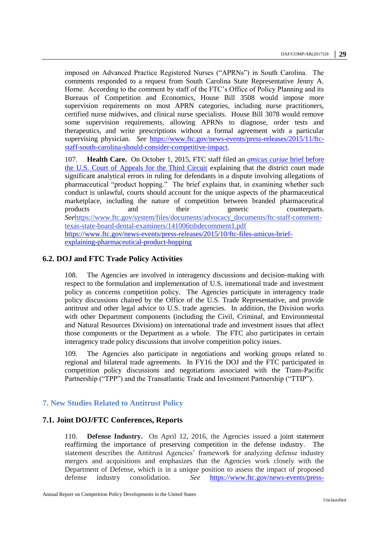imposed on Advanced Practice Registered Nurses ("APRNs") in South Carolina. The comments responded to a request from South Carolina State Representative Jenny A. Horne. According to the comment by staff of the FTC's Office of Policy Planning and its Bureaus of Competition and Economics, House Bill 3508 would impose more supervision requirements on most APRN categories, including nurse practitioners, certified nurse midwives, and clinical nurse specialists. House Bill 3078 would remove some supervision requirements, allowing APRNs to diagnose, order tests and therapeutics, and write prescriptions without a formal agreement with a particular supervising physician. *See* [https://www.ftc.gov/news-events/press-releases/2015/11/ftc](https://www.ftc.gov/news-events/press-releases/2015/11/ftc-staff-south-carolina-should-consider-competitive-impact)[staff-south-carolina-should-consider-competitive-impact.](https://www.ftc.gov/news-events/press-releases/2015/11/ftc-staff-south-carolina-should-consider-competitive-impact)

107. **Health Care.** On October 1, 2015, FTC staff filed an *[amicus curiae](https://www.ftc.gov/policy/advocacy/amicus-briefs/2015/09/mylan-pharmaceuticals-inc-v-warner-chilcott-plc-et-al)* brief before [the U.S. Court of Appeals for the Third Circuit](https://www.ftc.gov/policy/advocacy/amicus-briefs/2015/09/mylan-pharmaceuticals-inc-v-warner-chilcott-plc-et-al) explaining that the district court made significant analytical errors in ruling for defendants in a dispute involving allegations of pharmaceutical "product hopping." The brief explains that, in examining whether such conduct is unlawful, courts should account for the unique aspects of the pharmaceutical marketplace, including the nature of competition between branded pharmaceutical products and their generic counterparts. *See*[https://www.ftc.gov/system/files/documents/advocacy\\_documents/ftc-staff-comment](https://www.ftc.gov/system/files/documents/advocacy_documents/ftc-staff-comment-texas-state-board-dental-examiners/141006tsbdecomment1.pdf)[texas-state-board-dental-examiners/141006tsbdecomment1.pdf](https://www.ftc.gov/system/files/documents/advocacy_documents/ftc-staff-comment-texas-state-board-dental-examiners/141006tsbdecomment1.pdf) [https://www.ftc.gov/news-events/press-releases/2015/10/ftc-files-amicus-brief](https://www.ftc.gov/news-events/press-releases/2015/10/ftc-files-amicus-brief-explaining-pharmaceutical-product-hopping)[explaining-pharmaceutical-product-hopping](https://www.ftc.gov/news-events/press-releases/2015/10/ftc-files-amicus-brief-explaining-pharmaceutical-product-hopping)

#### <span id="page-28-0"></span>**6.2. DOJ and FTC Trade Policy Activities**

108. The Agencies are involved in interagency discussions and decision-making with respect to the formulation and implementation of U.S. international trade and investment policy as concerns competition policy. The Agencies participate in interagency trade policy discussions chaired by the Office of the U.S. Trade Representative, and provide antitrust and other legal advice to U.S. trade agencies. In addition, the Division works with other Department components (including the Civil, Criminal, and Environmental and Natural Resources Divisions) on international trade and investment issues that affect those components or the Department as a whole. The FTC also participates in certain interagency trade policy discussions that involve competition policy issues.

109. The Agencies also participate in negotiations and working groups related to regional and bilateral trade agreements. In FY16 the DOJ and the FTC participated in competition policy discussions and negotiations associated with the Trans-Pacific Partnership ("TPP") and the Transatlantic Trade and Investment Partnership ("TTIP").

#### <span id="page-28-1"></span>**7. New Studies Related to Antitrust Policy**

#### <span id="page-28-2"></span>**7.1. Joint DOJ/FTC Conferences, Reports**

110. **Defense Industry.** On April 12, 2016, the Agencies issued a [joint statement](https://www.ftc.gov/public-statements/2016/04/joint-statement-department-justice-federal-trade-commission-preserving)  [reaffirming the importance of preserving competition in the defense industry.](https://www.ftc.gov/public-statements/2016/04/joint-statement-department-justice-federal-trade-commission-preserving) The statement describes the Antitrust Agencies' framework for analyzing defense industry mergers and acquisitions and emphasizes that the Agencies work closely with the Department of Defense, which is in a unique position to assess the impact of proposed defense industry consolidation. *See* [https://www.ftc.gov/news-events/press-](https://www.ftc.gov/news-events/press-releases/2016/04/ftc-doj-issue-joint-statement-preserving-competition-defense)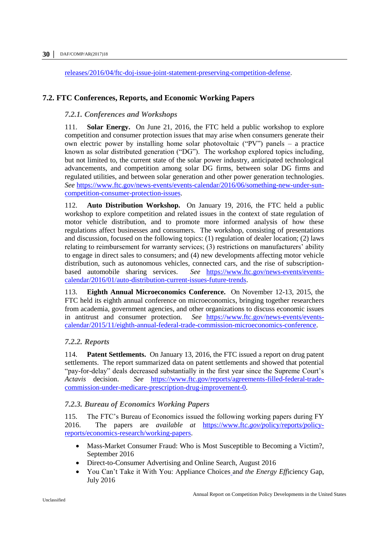[releases/2016/04/ftc-doj-issue-joint-statement-preserving-competition-defense.](https://www.ftc.gov/news-events/press-releases/2016/04/ftc-doj-issue-joint-statement-preserving-competition-defense)

#### <span id="page-29-1"></span><span id="page-29-0"></span>**7.2. FTC Conferences, Reports, and Economic Working Papers**

#### *7.2.1. Conferences and Workshops*

111. **Solar Energy.** On June 21, 2016, the FTC held a public workshop to explore competition and consumer protection issues that may arise when consumers generate their own electric power by installing home solar photovoltaic ("PV") panels – a practice known as solar distributed generation ("DG"). The workshop explored topics including, but not limited to, the current state of the solar power industry, anticipated technological advancements, and competition among solar DG firms, between solar DG firms and regulated utilities, and between solar generation and other power generation technologies. *See* [https://www.ftc.gov/news-events/events-calendar/2016/06/something-new-under-sun](https://www.ftc.gov/news-events/events-calendar/2016/06/something-new-under-sun-competition-consumer-protection-issues)[competition-consumer-protection-issues.](https://www.ftc.gov/news-events/events-calendar/2016/06/something-new-under-sun-competition-consumer-protection-issues)

112. **Auto Distribution Workshop.** On January 19, 2016, the FTC held a public workshop to explore competition and related issues in the context of state regulation of motor vehicle distribution, and to promote more informed analysis of how these regulations affect businesses and consumers. The workshop, consisting of presentations and discussion, focused on the following topics: (1) regulation of dealer location; (2) laws relating to reimbursement for warranty services; (3) restrictions on manufacturers' ability to engage in direct sales to consumers; and (4) new developments affecting motor vehicle distribution, such as autonomous vehicles, connected cars, and the rise of subscriptionbased automobile sharing services. *See* [https://www.ftc.gov/news-events/events](https://www.ftc.gov/news-events/events-calendar/2016/01/auto-distribution-current-issues-future-trends)[calendar/2016/01/auto-distribution-current-issues-future-trends.](https://www.ftc.gov/news-events/events-calendar/2016/01/auto-distribution-current-issues-future-trends)

113. **Eighth Annual Microeconomics Conference.** On November 12-13, 2015, the FTC held its eighth annual conference on microeconomics, bringing together researchers from academia, government agencies, and other organizations to discuss economic issues in antitrust and consumer protection. *See* [https://www.ftc.gov/news-events/events](https://www.ftc.gov/news-events/events-calendar/2015/11/eighth-annual-federal-trade-commission-microeconomics-conference)[calendar/2015/11/eighth-annual-federal-trade-commission-microeconomics-conference.](https://www.ftc.gov/news-events/events-calendar/2015/11/eighth-annual-federal-trade-commission-microeconomics-conference)

#### <span id="page-29-2"></span>*7.2.2. Reports*

114. **Patent Settlements.** On January 13, 2016, the FTC issued a report on drug patent settlements. The report summarized data on patent settlements and showed that potential "pay-for-delay" deals decreased substantially in the first year since the Supreme Court's *Actavis* decision. *See* [https://www.ftc.gov/reports/agreements-filled-federal-trade](https://www.ftc.gov/reports/agreements-filled-federal-trade-commission-under-medicare-prescription-drug-improvement-0)[commission-under-medicare-prescription-drug-improvement-0.](https://www.ftc.gov/reports/agreements-filled-federal-trade-commission-under-medicare-prescription-drug-improvement-0)

#### <span id="page-29-3"></span>*7.2.3. Bureau of Economics Working Papers*

115. The FTC's Bureau of Economics issued the following working papers during FY 2016. The papers are *available at* [https://www.ft](https://www.ftc.gov/policy/reports/policy-reports/economics-research/working-papers)*c.gov/p*olicy/report*s/po*licy[reports/economics-research/working-papers.](https://www.ftc.gov/policy/reports/policy-reports/economics-research/working-papers)

- Mass-Market Consumer Fraud: Who is Most Susceptible to Becoming a Victim?, September 2016
- Direct-to-Consumer Advertising and Online Search, August 2016
- You Can't Take it With You: Appliance Choices an*d the Energy Eff*iciency Gap, July 2016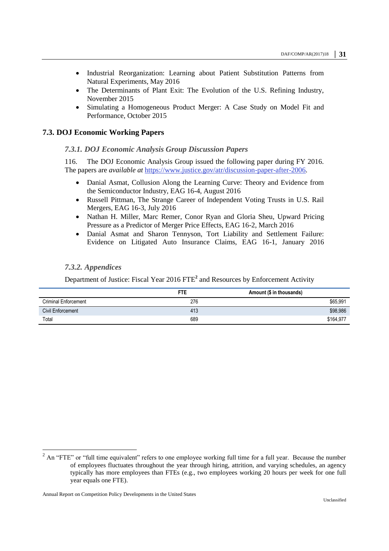- Industrial Reorganization: Learning about Patient Substitution Patterns from Natural Experiments, May 2016
- The Determinants of Plant Exit: The Evolution of the U.S. Refining Industry, November 2015
- Simulating a Homogeneous Product Merger: A Case Study on Model Fit and Performance, October 2015

#### <span id="page-30-1"></span><span id="page-30-0"></span>**7.3. DOJ Economic Working Papers**

#### *7.3.1. DOJ Economic Analysis Group Discussion Papers*

116. The DOJ Economic Analysis Group issued the following paper during FY 2016. The papers are *available at* [https://www.justice.gov/atr/discussion-paper-after-2006.](https://www.justice.gov/atr/discussion-paper-after-2006)

- Danial Asmat, Collusion Along the Learning Curve: Theory and Evidence from the Semiconductor Industry, EAG 16-4, August 2016
- Russell Pittman, The Strange Career of Independent Voting Trusts in U.S. Rail Mergers, EAG 16-3, July 2016
- Nathan H. Miller, Marc Remer, Conor Ryan and Gloria Sheu, Upward Pricing Pressure as a Predictor of Merger Price Effects, EAG 16-2, March 2016
- Danial Asmat and Sharon Tennyson, Tort Liability and Settlement Failure: Evidence on Litigated Auto Insurance Claims, EAG 16-1, January 2016

#### <span id="page-30-2"></span>*7.3.2. Appendices*

Department of Justice: Fiscal Year 2016 FTE**<sup>2</sup>** and Resources by Enforcement Activity

|                             | FTE | Amount (\$ in thousands) |
|-----------------------------|-----|--------------------------|
| <b>Criminal Enforcement</b> | 276 | \$65,991                 |
| Civil Enforcement           | 413 | \$98,986                 |
| Total                       | 689 | \$164.977                |

 $\overline{a}$ 

 $2$  An "FTE" or "full time equivalent" refers to one employee working full time for a full year. Because the number of employees fluctuates throughout the year through hiring, attrition, and varying schedules, an agency typically has more employees than FTEs (e.g., two employees working 20 hours per week for one full year equals one FTE).